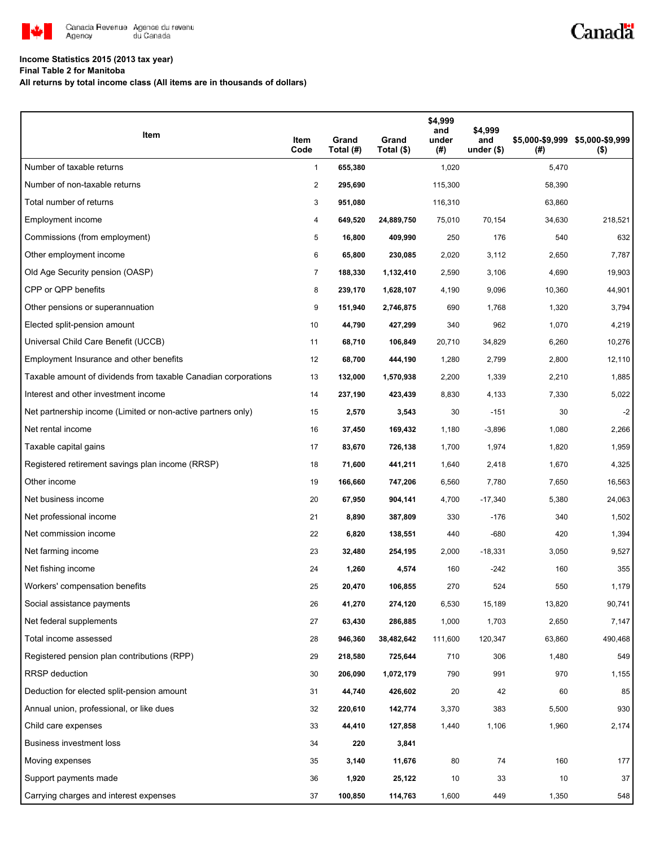

## Canadä

### **Income Statistics 2015 (2013 tax year)**

**Final Table 2 for Manitoba**

**All returns by total income class (All items are in thousands of dollars)**

| Item                                                           | ltem<br>Code   | Grand<br>Total (#) | Grand<br>Total (\$) | \$4,999<br>and<br>under<br>(#) | \$4,999<br>and<br>under $($ \$) | (#)    | \$5,000-\$9,999 \$5,000-\$9,999<br>$($ \$) |
|----------------------------------------------------------------|----------------|--------------------|---------------------|--------------------------------|---------------------------------|--------|--------------------------------------------|
| Number of taxable returns                                      | $\mathbf{1}$   | 655,380            |                     | 1,020                          |                                 | 5,470  |                                            |
| Number of non-taxable returns                                  | 2              | 295,690            |                     | 115,300                        |                                 | 58,390 |                                            |
| Total number of returns                                        | 3              | 951,080            |                     | 116,310                        |                                 | 63,860 |                                            |
| Employment income                                              | 4              | 649,520            | 24,889,750          | 75,010                         | 70,154                          | 34,630 | 218,521                                    |
| Commissions (from employment)                                  | 5              | 16,800             | 409,990             | 250                            | 176                             | 540    | 632                                        |
| Other employment income                                        | 6              | 65,800             | 230,085             | 2,020                          | 3,112                           | 2,650  | 7,787                                      |
| Old Age Security pension (OASP)                                | $\overline{7}$ | 188,330            | 1,132,410           | 2,590                          | 3,106                           | 4,690  | 19,903                                     |
| CPP or QPP benefits                                            | 8              | 239,170            | 1,628,107           | 4,190                          | 9,096                           | 10,360 | 44,901                                     |
| Other pensions or superannuation                               | 9              | 151,940            | 2,746,875           | 690                            | 1,768                           | 1,320  | 3,794                                      |
| Elected split-pension amount                                   | 10             | 44,790             | 427,299             | 340                            | 962                             | 1,070  | 4,219                                      |
| Universal Child Care Benefit (UCCB)                            | 11             | 68,710             | 106,849             | 20,710                         | 34,829                          | 6,260  | 10,276                                     |
| Employment Insurance and other benefits                        | 12             | 68,700             | 444,190             | 1,280                          | 2,799                           | 2,800  | 12,110                                     |
| Taxable amount of dividends from taxable Canadian corporations | 13             | 132,000            | 1,570,938           | 2,200                          | 1,339                           | 2,210  | 1,885                                      |
| Interest and other investment income                           | 14             | 237,190            | 423,439             | 8,830                          | 4,133                           | 7,330  | 5,022                                      |
| Net partnership income (Limited or non-active partners only)   | 15             | 2,570              | 3,543               | 30                             | $-151$                          | 30     | $-2$                                       |
| Net rental income                                              | 16             | 37,450             | 169,432             | 1,180                          | $-3,896$                        | 1,080  | 2,266                                      |
| Taxable capital gains                                          | 17             | 83,670             | 726,138             | 1,700                          | 1,974                           | 1,820  | 1,959                                      |
| Registered retirement savings plan income (RRSP)               | 18             | 71,600             | 441,211             | 1,640                          | 2,418                           | 1,670  | 4,325                                      |
| Other income                                                   | 19             | 166,660            | 747,206             | 6,560                          | 7,780                           | 7,650  | 16,563                                     |
| Net business income                                            | 20             | 67,950             | 904,141             | 4,700                          | $-17,340$                       | 5,380  | 24,063                                     |
| Net professional income                                        | 21             | 8,890              | 387,809             | 330                            | $-176$                          | 340    | 1,502                                      |
| Net commission income                                          | 22             | 6,820              | 138,551             | 440                            | $-680$                          | 420    | 1,394                                      |
| Net farming income                                             | 23             | 32,480             | 254,195             | 2,000                          | $-18,331$                       | 3,050  | 9,527                                      |
| Net fishing income                                             | 24             | 1,260              | 4,574               | 160                            | $-242$                          | 160    | 355                                        |
| Workers' compensation benefits                                 | 25             | 20,470             | 106,855             | 270                            | 524                             | 550    | 1,179                                      |
| Social assistance payments                                     | 26             | 41,270             | 274,120             | 6,530                          | 15,189                          | 13,820 | 90,741                                     |
| Net federal supplements                                        | 27             | 63,430             | 286,885             | 1,000                          | 1,703                           | 2,650  | 7,147                                      |
| Total income assessed                                          | 28             | 946,360            | 38,482,642          | 111,600                        | 120,347                         | 63,860 | 490,468                                    |
| Registered pension plan contributions (RPP)                    | 29             | 218,580            | 725,644             | 710                            | 306                             | 1,480  | 549                                        |
| RRSP deduction                                                 | 30             | 206,090            | 1,072,179           | 790                            | 991                             | 970    | 1,155                                      |
| Deduction for elected split-pension amount                     | 31             | 44,740             | 426,602             | 20                             | 42                              | 60     | 85                                         |
| Annual union, professional, or like dues                       | 32             | 220,610            | 142,774             | 3,370                          | 383                             | 5,500  | 930                                        |
| Child care expenses                                            | 33             | 44,410             | 127,858             | 1,440                          | 1,106                           | 1,960  | 2,174                                      |
| <b>Business investment loss</b>                                | 34             | 220                | 3,841               |                                |                                 |        |                                            |
| Moving expenses                                                | 35             | 3,140              | 11,676              | 80                             | 74                              | 160    | 177                                        |
| Support payments made                                          | 36             | 1,920              | 25,122              | 10                             | 33                              | 10     | $37\,$                                     |
| Carrying charges and interest expenses                         | 37             | 100,850            | 114,763             | 1,600                          | 449                             | 1,350  | 548                                        |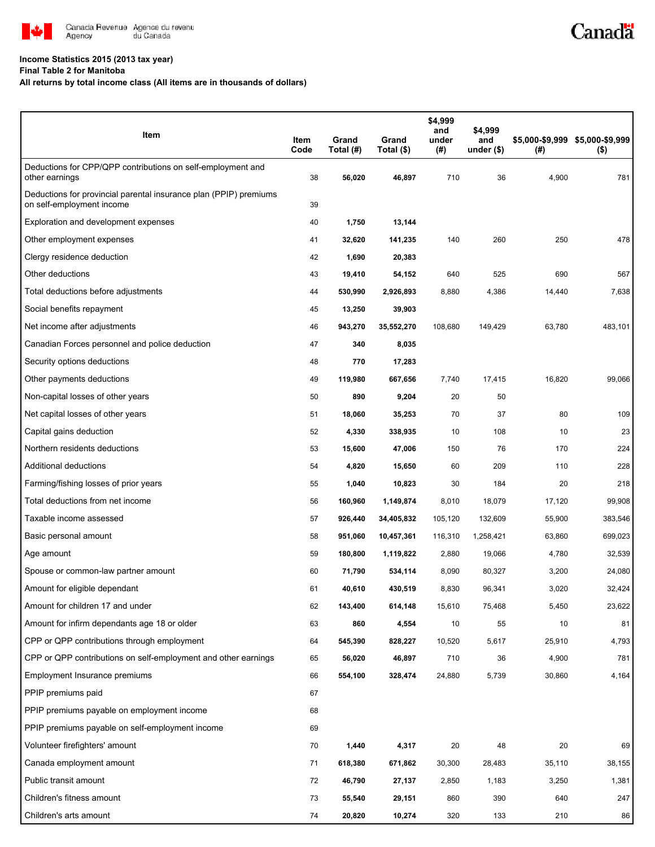

### **Income Statistics 2015 (2013 tax year)**

**Final Table 2 for Manitoba**

**All returns by total income class (All items are in thousands of dollars)**

| Item                                                                                           | Item<br>Code | Grand<br>Total (#) | Grand<br>Total (\$) | \$4,999<br>and<br>under<br>(# ) | \$4,999<br>and<br>under $($)$ | $^{(\#)}$ | \$5,000-\$9,999 \$5,000-\$9,999<br>$($ \$) |
|------------------------------------------------------------------------------------------------|--------------|--------------------|---------------------|---------------------------------|-------------------------------|-----------|--------------------------------------------|
| Deductions for CPP/QPP contributions on self-employment and<br>other earnings                  | 38           | 56,020             | 46,897              | 710                             | 36                            | 4,900     | 781                                        |
| Deductions for provincial parental insurance plan (PPIP) premiums<br>on self-employment income | 39           |                    |                     |                                 |                               |           |                                            |
| Exploration and development expenses                                                           | 40           | 1,750              | 13,144              |                                 |                               |           |                                            |
| Other employment expenses                                                                      | 41           | 32,620             | 141,235             | 140                             | 260                           | 250       | 478                                        |
| Clergy residence deduction                                                                     | 42           | 1,690              | 20,383              |                                 |                               |           |                                            |
| Other deductions                                                                               | 43           | 19,410             | 54,152              | 640                             | 525                           | 690       | 567                                        |
| Total deductions before adjustments                                                            | 44           | 530,990            | 2,926,893           | 8,880                           | 4,386                         | 14,440    | 7,638                                      |
| Social benefits repayment                                                                      | 45           | 13,250             | 39,903              |                                 |                               |           |                                            |
| Net income after adjustments                                                                   | 46           | 943,270            | 35,552,270          | 108,680                         | 149,429                       | 63,780    | 483,101                                    |
| Canadian Forces personnel and police deduction                                                 | 47           | 340                | 8,035               |                                 |                               |           |                                            |
| Security options deductions                                                                    | 48           | 770                | 17,283              |                                 |                               |           |                                            |
| Other payments deductions                                                                      | 49           | 119,980            | 667,656             | 7,740                           | 17,415                        | 16,820    | 99,066                                     |
| Non-capital losses of other years                                                              | 50           | 890                | 9,204               | 20                              | 50                            |           |                                            |
| Net capital losses of other years                                                              | 51           | 18,060             | 35,253              | 70                              | 37                            | 80        | 109                                        |
| Capital gains deduction                                                                        | 52           | 4,330              | 338,935             | 10                              | 108                           | 10        | 23                                         |
| Northern residents deductions                                                                  | 53           | 15,600             | 47,006              | 150                             | 76                            | 170       | 224                                        |
| Additional deductions                                                                          | 54           | 4,820              | 15,650              | 60                              | 209                           | 110       | 228                                        |
| Farming/fishing losses of prior years                                                          | 55           | 1,040              | 10,823              | 30                              | 184                           | 20        | 218                                        |
| Total deductions from net income                                                               | 56           | 160,960            | 1,149,874           | 8,010                           | 18,079                        | 17,120    | 99,908                                     |
| Taxable income assessed                                                                        | 57           | 926,440            | 34,405,832          | 105,120                         | 132,609                       | 55,900    | 383,546                                    |
| Basic personal amount                                                                          | 58           | 951,060            | 10,457,361          | 116,310                         | 1,258,421                     | 63,860    | 699,023                                    |
| Age amount                                                                                     | 59           | 180,800            | 1,119,822           | 2,880                           | 19,066                        | 4,780     | 32,539                                     |
| Spouse or common-law partner amount                                                            | 60           | 71,790             | 534,114             | 8,090                           | 80,327                        | 3,200     | 24,080                                     |
| Amount for eligible dependant                                                                  | 61           | 40,610             | 430,519             | 8,830                           | 96,341                        | 3,020     | 32,424                                     |
| Amount for children 17 and under                                                               | 62           | 143,400            | 614,148             | 15,610                          | 75,468                        | 5,450     | 23,622                                     |
| Amount for infirm dependants age 18 or older                                                   | 63           | 860                | 4,554               | 10                              | 55                            | 10        | 81                                         |
| CPP or QPP contributions through employment                                                    | 64           | 545,390            | 828,227             | 10,520                          | 5,617                         | 25,910    | 4,793                                      |
| CPP or QPP contributions on self-employment and other earnings                                 | 65           | 56,020             | 46,897              | 710                             | 36                            | 4,900     | 781                                        |
| Employment Insurance premiums                                                                  | 66           | 554,100            | 328,474             | 24,880                          | 5,739                         | 30,860    | 4,164                                      |
| PPIP premiums paid                                                                             | 67           |                    |                     |                                 |                               |           |                                            |
| PPIP premiums payable on employment income                                                     | 68           |                    |                     |                                 |                               |           |                                            |
| PPIP premiums payable on self-employment income                                                | 69           |                    |                     |                                 |                               |           |                                            |
| Volunteer firefighters' amount                                                                 | 70           | 1,440              | 4,317               | 20                              | 48                            | 20        | 69                                         |
| Canada employment amount                                                                       | 71           | 618,380            | 671,862             | 30,300                          | 28,483                        | 35,110    | 38,155                                     |
| Public transit amount                                                                          | 72           | 46,790             | 27,137              | 2,850                           | 1,183                         | 3,250     | 1,381                                      |
| Children's fitness amount                                                                      | 73           | 55,540             | 29,151              | 860                             | 390                           | 640       | 247                                        |
| Children's arts amount                                                                         | 74           | 20,820             | 10,274              | 320                             | 133                           | 210       | 86                                         |

Canadä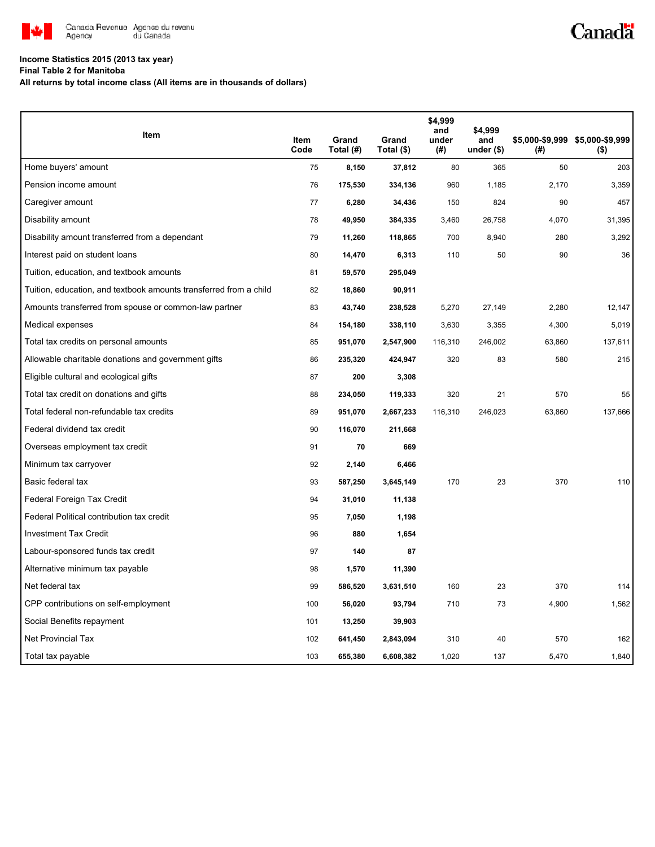

# Canadä

#### **Income Statistics 2015 (2013 tax year)**

**Final Table 2 for Manitoba**

**All returns by total income class (All items are in thousands of dollars)**

|                                                                   |              |                    |                     | \$4,999<br>and | \$4,999            |        |                                            |
|-------------------------------------------------------------------|--------------|--------------------|---------------------|----------------|--------------------|--------|--------------------------------------------|
| Item                                                              | Item<br>Code | Grand<br>Total (#) | Grand<br>Total (\$) | under<br>(#)   | and<br>under $($)$ | (#)    | \$5,000-\$9,999 \$5,000-\$9,999<br>$($ \$) |
| Home buyers' amount                                               | 75           | 8,150              | 37,812              | 80             | 365                | 50     | 203                                        |
| Pension income amount                                             | 76           | 175,530            | 334,136             | 960            | 1,185              | 2,170  | 3,359                                      |
| Caregiver amount                                                  | 77           | 6,280              | 34,436              | 150            | 824                | 90     | 457                                        |
| Disability amount                                                 | 78           | 49,950             | 384,335             | 3,460          | 26,758             | 4,070  | 31,395                                     |
| Disability amount transferred from a dependant                    | 79           | 11,260             | 118,865             | 700            | 8,940              | 280    | 3,292                                      |
| Interest paid on student loans                                    | 80           | 14,470             | 6,313               | 110            | 50                 | 90     | 36                                         |
| Tuition, education, and textbook amounts                          | 81           | 59,570             | 295,049             |                |                    |        |                                            |
| Tuition, education, and textbook amounts transferred from a child | 82           | 18,860             | 90,911              |                |                    |        |                                            |
| Amounts transferred from spouse or common-law partner             | 83           | 43,740             | 238,528             | 5,270          | 27,149             | 2,280  | 12,147                                     |
| Medical expenses                                                  | 84           | 154,180            | 338,110             | 3,630          | 3,355              | 4,300  | 5,019                                      |
| Total tax credits on personal amounts                             | 85           | 951,070            | 2,547,900           | 116,310        | 246,002            | 63,860 | 137,611                                    |
| Allowable charitable donations and government gifts               | 86           | 235,320            | 424,947             | 320            | 83                 | 580    | 215                                        |
| Eligible cultural and ecological gifts                            | 87           | 200                | 3,308               |                |                    |        |                                            |
| Total tax credit on donations and gifts                           | 88           | 234,050            | 119,333             | 320            | 21                 | 570    | 55                                         |
| Total federal non-refundable tax credits                          | 89           | 951,070            | 2,667,233           | 116,310        | 246,023            | 63,860 | 137,666                                    |
| Federal dividend tax credit                                       | 90           | 116,070            | 211,668             |                |                    |        |                                            |
| Overseas employment tax credit                                    | 91           | 70                 | 669                 |                |                    |        |                                            |
| Minimum tax carryover                                             | 92           | 2,140              | 6,466               |                |                    |        |                                            |
| Basic federal tax                                                 | 93           | 587,250            | 3,645,149           | 170            | 23                 | 370    | 110                                        |
| Federal Foreign Tax Credit                                        | 94           | 31,010             | 11,138              |                |                    |        |                                            |
| Federal Political contribution tax credit                         | 95           | 7,050              | 1,198               |                |                    |        |                                            |
| <b>Investment Tax Credit</b>                                      | 96           | 880                | 1,654               |                |                    |        |                                            |
| Labour-sponsored funds tax credit                                 | 97           | 140                | 87                  |                |                    |        |                                            |
| Alternative minimum tax payable                                   | 98           | 1,570              | 11,390              |                |                    |        |                                            |
| Net federal tax                                                   | 99           | 586,520            | 3,631,510           | 160            | 23                 | 370    | 114                                        |
| CPP contributions on self-employment                              | 100          | 56,020             | 93,794              | 710            | 73                 | 4,900  | 1,562                                      |
| Social Benefits repayment                                         | 101          | 13,250             | 39,903              |                |                    |        |                                            |
| <b>Net Provincial Tax</b>                                         | 102          | 641,450            | 2,843,094           | 310            | 40                 | 570    | 162                                        |
| Total tax payable                                                 | 103          | 655,380            | 6,608,382           | 1,020          | 137                | 5,470  | 1,840                                      |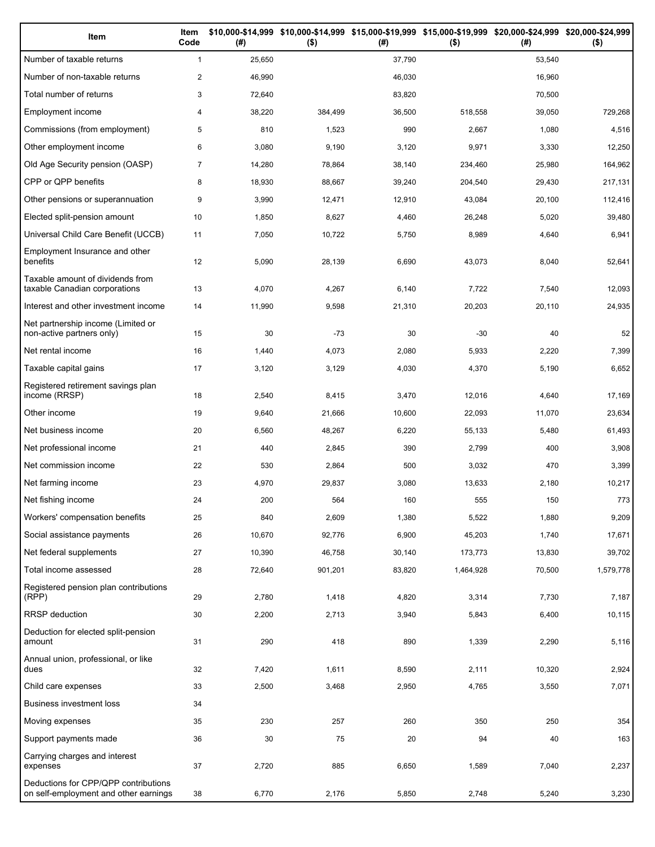| Item                                                                          | Item<br>Code   | (# )   | $($ \$) | (#)    | \$10,000-\$14,999 \$10,000-\$14,999 \$15,000-\$19,999 \$15,000-\$19,999 \$20,000-\$24,999 \$20,000-\$24,999<br>$($ \$) | (#)    | $($ \$)   |
|-------------------------------------------------------------------------------|----------------|--------|---------|--------|------------------------------------------------------------------------------------------------------------------------|--------|-----------|
| Number of taxable returns                                                     | $\mathbf{1}$   | 25,650 |         | 37,790 |                                                                                                                        | 53,540 |           |
| Number of non-taxable returns                                                 | $\overline{2}$ | 46,990 |         | 46,030 |                                                                                                                        | 16,960 |           |
| Total number of returns                                                       | 3              | 72,640 |         | 83,820 |                                                                                                                        | 70,500 |           |
| Employment income                                                             | 4              | 38,220 | 384,499 | 36,500 | 518,558                                                                                                                | 39,050 | 729,268   |
| Commissions (from employment)                                                 | 5              | 810    | 1,523   | 990    | 2,667                                                                                                                  | 1,080  | 4,516     |
| Other employment income                                                       | 6              | 3,080  | 9,190   | 3,120  | 9,971                                                                                                                  | 3,330  | 12,250    |
| Old Age Security pension (OASP)                                               | $\overline{7}$ | 14,280 | 78,864  | 38,140 | 234,460                                                                                                                | 25,980 | 164,962   |
| CPP or QPP benefits                                                           | 8              | 18,930 | 88,667  | 39,240 | 204,540                                                                                                                | 29,430 | 217,131   |
| Other pensions or superannuation                                              | 9              | 3,990  | 12,471  | 12,910 | 43,084                                                                                                                 | 20,100 | 112,416   |
| Elected split-pension amount                                                  | 10             | 1,850  | 8,627   | 4,460  | 26,248                                                                                                                 | 5,020  | 39,480    |
| Universal Child Care Benefit (UCCB)                                           | 11             | 7,050  | 10,722  | 5,750  | 8,989                                                                                                                  | 4,640  | 6,941     |
| Employment Insurance and other<br>benefits                                    | 12             | 5,090  | 28,139  | 6,690  | 43,073                                                                                                                 | 8,040  | 52,641    |
| Taxable amount of dividends from<br>taxable Canadian corporations             | 13             | 4,070  | 4,267   | 6,140  | 7,722                                                                                                                  | 7,540  | 12,093    |
| Interest and other investment income                                          | 14             | 11,990 | 9,598   | 21,310 | 20,203                                                                                                                 | 20,110 | 24,935    |
| Net partnership income (Limited or<br>non-active partners only)               | 15             | 30     | $-73$   | 30     | $-30$                                                                                                                  | 40     | 52        |
| Net rental income                                                             | 16             | 1,440  | 4,073   | 2,080  | 5,933                                                                                                                  | 2,220  | 7,399     |
| Taxable capital gains                                                         | 17             | 3,120  | 3,129   | 4,030  | 4,370                                                                                                                  | 5,190  | 6,652     |
| Registered retirement savings plan<br>income (RRSP)                           | 18             | 2,540  | 8,415   | 3,470  | 12,016                                                                                                                 | 4,640  | 17,169    |
| Other income                                                                  | 19             | 9,640  | 21,666  | 10,600 | 22,093                                                                                                                 | 11,070 | 23,634    |
| Net business income                                                           | 20             | 6,560  | 48,267  | 6,220  | 55,133                                                                                                                 | 5,480  | 61,493    |
| Net professional income                                                       | 21             | 440    | 2,845   | 390    | 2,799                                                                                                                  | 400    | 3,908     |
| Net commission income                                                         | 22             | 530    | 2,864   | 500    | 3,032                                                                                                                  | 470    | 3,399     |
| Net farming income                                                            | 23             | 4,970  | 29,837  | 3,080  | 13,633                                                                                                                 | 2,180  | 10,217    |
| Net fishing income                                                            | 24             | 200    | 564     | 160    | 555                                                                                                                    | 150    | 773       |
| Workers' compensation benefits                                                | 25             | 840    | 2,609   | 1,380  | 5,522                                                                                                                  | 1,880  | 9,209     |
| Social assistance payments                                                    | 26             | 10,670 | 92,776  | 6,900  | 45,203                                                                                                                 | 1,740  | 17,671    |
| Net federal supplements                                                       | 27             | 10,390 | 46,758  | 30,140 | 173,773                                                                                                                | 13,830 | 39,702    |
| Total income assessed                                                         | 28             | 72,640 | 901,201 | 83,820 | 1,464,928                                                                                                              | 70,500 | 1,579,778 |
| Registered pension plan contributions<br>(RPP)                                | 29             | 2,780  | 1,418   | 4,820  | 3,314                                                                                                                  | 7,730  | 7,187     |
| RRSP deduction                                                                | 30             | 2,200  | 2,713   | 3,940  | 5,843                                                                                                                  | 6,400  | 10,115    |
| Deduction for elected split-pension<br>amount                                 | 31             | 290    | 418     | 890    | 1,339                                                                                                                  | 2,290  | 5,116     |
| Annual union, professional, or like<br>dues                                   | 32             | 7,420  | 1,611   | 8,590  | 2,111                                                                                                                  | 10,320 | 2,924     |
| Child care expenses                                                           | 33             | 2,500  | 3,468   | 2,950  | 4,765                                                                                                                  | 3,550  | 7,071     |
| Business investment loss                                                      | 34             |        |         |        |                                                                                                                        |        |           |
| Moving expenses                                                               | 35             | 230    | 257     | 260    | 350                                                                                                                    | 250    | 354       |
| Support payments made                                                         | 36             | 30     | 75      | 20     | 94                                                                                                                     | 40     | 163       |
| Carrying charges and interest<br>expenses                                     | 37             | 2,720  | 885     | 6,650  | 1,589                                                                                                                  | 7,040  | 2,237     |
| Deductions for CPP/QPP contributions<br>on self-employment and other earnings | 38             | 6,770  | 2,176   | 5,850  | 2,748                                                                                                                  | 5,240  | 3,230     |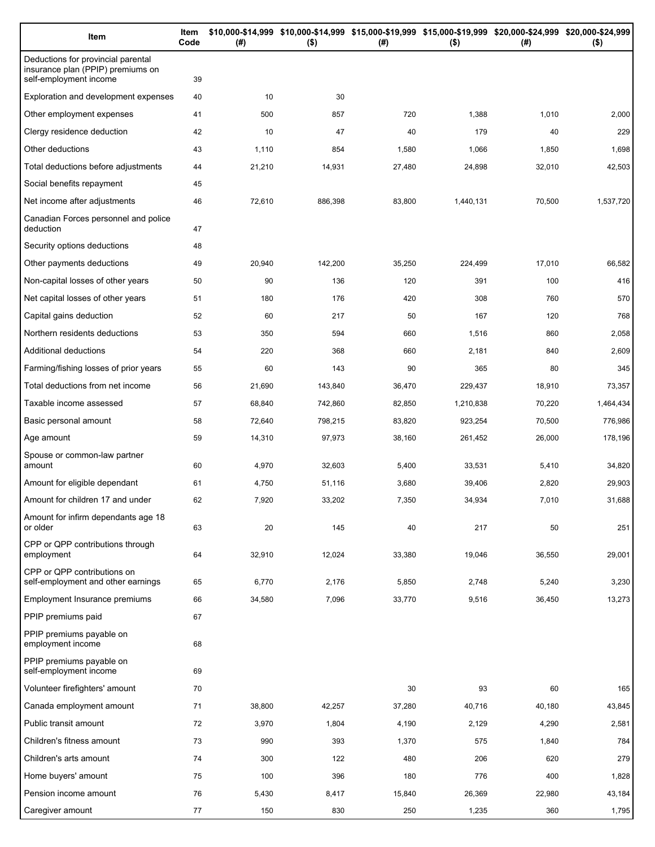| Item                                                                                              | Item<br>Code | (# )   | \$10,000-\$14,999 \$10,000-\$14,999 \$15,000-\$19,999 \$15,000-\$19,999 \$20,000-\$24,999 \$20,000-\$24,999<br>$($ \$) | (# )   | $($ \$)   | (#)    | $($ \$)   |
|---------------------------------------------------------------------------------------------------|--------------|--------|------------------------------------------------------------------------------------------------------------------------|--------|-----------|--------|-----------|
| Deductions for provincial parental<br>insurance plan (PPIP) premiums on<br>self-employment income | 39           |        |                                                                                                                        |        |           |        |           |
| Exploration and development expenses                                                              | 40           | 10     | 30                                                                                                                     |        |           |        |           |
| Other employment expenses                                                                         | 41           | 500    | 857                                                                                                                    | 720    | 1,388     | 1,010  | 2,000     |
| Clergy residence deduction                                                                        | 42           | 10     | 47                                                                                                                     | 40     | 179       | 40     | 229       |
| Other deductions                                                                                  | 43           | 1,110  | 854                                                                                                                    | 1,580  | 1,066     | 1,850  | 1,698     |
| Total deductions before adjustments                                                               | 44           | 21,210 | 14,931                                                                                                                 | 27,480 | 24,898    | 32,010 | 42,503    |
| Social benefits repayment                                                                         | 45           |        |                                                                                                                        |        |           |        |           |
| Net income after adjustments                                                                      | 46           | 72,610 | 886,398                                                                                                                | 83,800 | 1,440,131 | 70,500 | 1,537,720 |
| Canadian Forces personnel and police<br>deduction                                                 | 47           |        |                                                                                                                        |        |           |        |           |
| Security options deductions                                                                       | 48           |        |                                                                                                                        |        |           |        |           |
| Other payments deductions                                                                         | 49           | 20,940 | 142,200                                                                                                                | 35,250 | 224,499   | 17,010 | 66,582    |
| Non-capital losses of other years                                                                 | 50           | 90     | 136                                                                                                                    | 120    | 391       | 100    | 416       |
| Net capital losses of other years                                                                 | 51           | 180    | 176                                                                                                                    | 420    | 308       | 760    | 570       |
| Capital gains deduction                                                                           | 52           | 60     | 217                                                                                                                    | 50     | 167       | 120    | 768       |
| Northern residents deductions                                                                     | 53           | 350    | 594                                                                                                                    | 660    | 1,516     | 860    | 2,058     |
| Additional deductions                                                                             | 54           | 220    | 368                                                                                                                    | 660    | 2,181     | 840    | 2,609     |
| Farming/fishing losses of prior years                                                             | 55           | 60     | 143                                                                                                                    | 90     | 365       | 80     | 345       |
| Total deductions from net income                                                                  | 56           | 21,690 | 143,840                                                                                                                | 36,470 | 229,437   | 18,910 | 73,357    |
| Taxable income assessed                                                                           | 57           | 68,840 | 742,860                                                                                                                | 82,850 | 1,210,838 | 70,220 | 1,464,434 |
| Basic personal amount                                                                             | 58           | 72,640 | 798,215                                                                                                                | 83,820 | 923,254   | 70,500 | 776,986   |
| Age amount                                                                                        | 59           | 14,310 | 97,973                                                                                                                 | 38,160 | 261,452   | 26,000 | 178,196   |
| Spouse or common-law partner<br>amount                                                            | 60           | 4,970  | 32,603                                                                                                                 | 5,400  | 33,531    | 5,410  | 34,820    |
| Amount for eligible dependant                                                                     | 61           | 4,750  | 51,116                                                                                                                 | 3,680  | 39,406    | 2,820  | 29,903    |
| Amount for children 17 and under                                                                  | 62           | 7,920  | 33,202                                                                                                                 | 7,350  | 34,934    | 7,010  | 31,688    |
| Amount for infirm dependants age 18<br>or older                                                   | 63           | 20     | 145                                                                                                                    | 40     | 217       | 50     | 251       |
| CPP or QPP contributions through<br>employment                                                    | 64           | 32,910 | 12,024                                                                                                                 | 33,380 | 19,046    | 36,550 | 29,001    |
| CPP or QPP contributions on<br>self-employment and other earnings                                 | 65           | 6,770  | 2,176                                                                                                                  | 5,850  | 2,748     | 5,240  | 3,230     |
| Employment Insurance premiums                                                                     | 66           | 34,580 | 7,096                                                                                                                  | 33,770 | 9,516     | 36,450 | 13,273    |
| PPIP premiums paid                                                                                | 67           |        |                                                                                                                        |        |           |        |           |
| PPIP premiums payable on<br>employment income                                                     | 68           |        |                                                                                                                        |        |           |        |           |
| PPIP premiums payable on<br>self-employment income                                                | 69           |        |                                                                                                                        |        |           |        |           |
| Volunteer firefighters' amount                                                                    | 70           |        |                                                                                                                        | 30     | 93        | 60     | 165       |
| Canada employment amount                                                                          | 71           | 38,800 | 42,257                                                                                                                 | 37,280 | 40,716    | 40,180 | 43,845    |
| Public transit amount                                                                             | 72           | 3,970  | 1,804                                                                                                                  | 4,190  | 2,129     | 4,290  | 2,581     |
| Children's fitness amount                                                                         | 73           | 990    | 393                                                                                                                    | 1,370  | 575       | 1,840  | 784       |
| Children's arts amount                                                                            | 74           | 300    | 122                                                                                                                    | 480    | 206       | 620    | 279       |
| Home buyers' amount                                                                               | 75           | 100    | 396                                                                                                                    | 180    | 776       | 400    | 1,828     |
| Pension income amount                                                                             | 76           | 5,430  | 8,417                                                                                                                  | 15,840 | 26,369    | 22,980 | 43,184    |
| Caregiver amount                                                                                  | 77           | 150    | 830                                                                                                                    | 250    | 1,235     | 360    | 1,795     |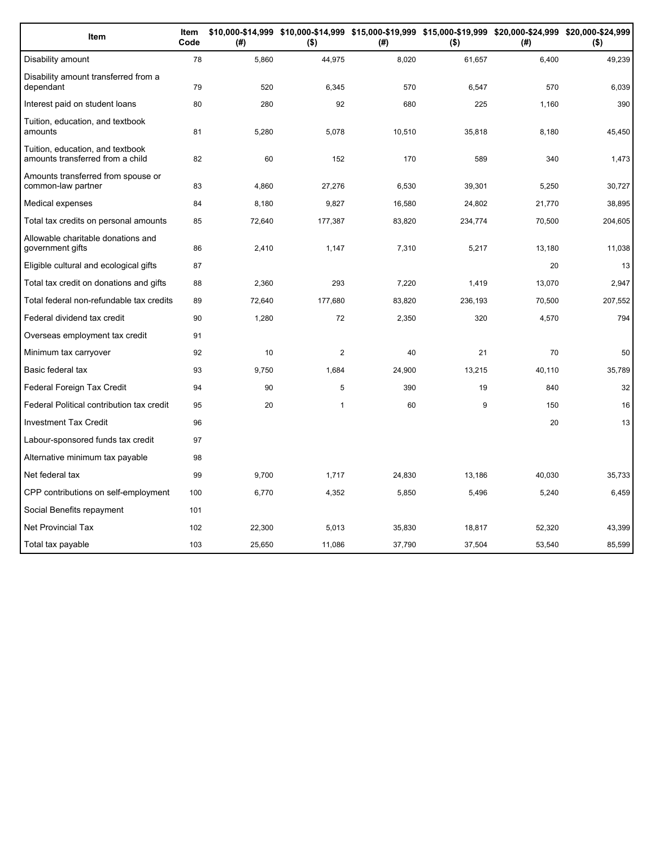| Item                                                                 | Item<br>Code | (#)    | \$10,000-\$14,999 \$10,000-\$14,999 \$15,000-\$19,999 \$15,000-\$19,999 \$20,000-\$24,999 \$20,000-\$24,999<br>$($ \$) | (#)    | $($ \$) | (#)    | $($ \$) |
|----------------------------------------------------------------------|--------------|--------|------------------------------------------------------------------------------------------------------------------------|--------|---------|--------|---------|
| Disability amount                                                    | 78           | 5,860  | 44,975                                                                                                                 | 8,020  | 61,657  | 6,400  | 49,239  |
| Disability amount transferred from a<br>dependant                    | 79           | 520    | 6,345                                                                                                                  | 570    | 6,547   | 570    | 6,039   |
| Interest paid on student loans                                       | 80           | 280    | 92                                                                                                                     | 680    | 225     | 1,160  | 390     |
| Tuition, education, and textbook<br>amounts                          | 81           | 5,280  | 5,078                                                                                                                  | 10,510 | 35,818  | 8,180  | 45,450  |
| Tuition, education, and textbook<br>amounts transferred from a child | 82           | 60     | 152                                                                                                                    | 170    | 589     | 340    | 1,473   |
| Amounts transferred from spouse or<br>common-law partner             | 83           | 4,860  | 27,276                                                                                                                 | 6,530  | 39,301  | 5,250  | 30,727  |
| Medical expenses                                                     | 84           | 8,180  | 9,827                                                                                                                  | 16,580 | 24,802  | 21,770 | 38,895  |
| Total tax credits on personal amounts                                | 85           | 72,640 | 177,387                                                                                                                | 83,820 | 234,774 | 70,500 | 204,605 |
| Allowable charitable donations and<br>government gifts               | 86           | 2,410  | 1,147                                                                                                                  | 7,310  | 5,217   | 13,180 | 11,038  |
| Eligible cultural and ecological gifts                               | 87           |        |                                                                                                                        |        |         | 20     | 13      |
| Total tax credit on donations and gifts                              | 88           | 2,360  | 293                                                                                                                    | 7,220  | 1,419   | 13,070 | 2,947   |
| Total federal non-refundable tax credits                             | 89           | 72,640 | 177,680                                                                                                                | 83,820 | 236,193 | 70,500 | 207,552 |
| Federal dividend tax credit                                          | 90           | 1,280  | 72                                                                                                                     | 2,350  | 320     | 4,570  | 794     |
| Overseas employment tax credit                                       | 91           |        |                                                                                                                        |        |         |        |         |
| Minimum tax carryover                                                | 92           | 10     | $\mathbf{2}$                                                                                                           | 40     | 21      | 70     | 50      |
| Basic federal tax                                                    | 93           | 9,750  | 1,684                                                                                                                  | 24,900 | 13,215  | 40,110 | 35,789  |
| Federal Foreign Tax Credit                                           | 94           | 90     | 5                                                                                                                      | 390    | 19      | 840    | 32      |
| Federal Political contribution tax credit                            | 95           | 20     | $\mathbf{1}$                                                                                                           | 60     | 9       | 150    | 16      |
| <b>Investment Tax Credit</b>                                         | 96           |        |                                                                                                                        |        |         | 20     | 13      |
| Labour-sponsored funds tax credit                                    | 97           |        |                                                                                                                        |        |         |        |         |
| Alternative minimum tax payable                                      | 98           |        |                                                                                                                        |        |         |        |         |
| Net federal tax                                                      | 99           | 9.700  | 1,717                                                                                                                  | 24,830 | 13.186  | 40.030 | 35,733  |
| CPP contributions on self-employment                                 | 100          | 6,770  | 4,352                                                                                                                  | 5,850  | 5,496   | 5,240  | 6,459   |
| Social Benefits repayment                                            | 101          |        |                                                                                                                        |        |         |        |         |
| <b>Net Provincial Tax</b>                                            | 102          | 22,300 | 5,013                                                                                                                  | 35,830 | 18,817  | 52,320 | 43,399  |
| Total tax payable                                                    | 103          | 25,650 | 11,086                                                                                                                 | 37,790 | 37,504  | 53,540 | 85,599  |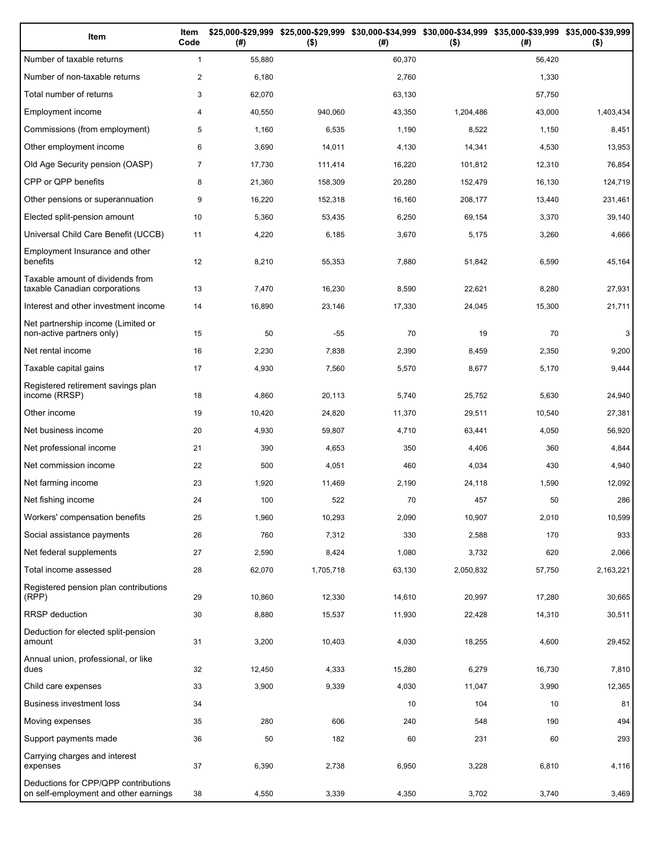| Item                                                                          | Item<br>Code   | (# )   | \$25,000-\$29,999 \$25,000-\$29,999<br>$($ \$) | (# )   | \$30,000-\$34,999 \$30,000-\$34,999 \$35,000-\$39,999 \$35,000-\$39,999<br>$($ \$) | (# )   | $($ \$)   |
|-------------------------------------------------------------------------------|----------------|--------|------------------------------------------------|--------|------------------------------------------------------------------------------------|--------|-----------|
| Number of taxable returns                                                     | $\mathbf{1}$   | 55,880 |                                                | 60,370 |                                                                                    | 56,420 |           |
| Number of non-taxable returns                                                 | $\overline{c}$ | 6,180  |                                                | 2,760  |                                                                                    | 1,330  |           |
| Total number of returns                                                       | 3              | 62,070 |                                                | 63,130 |                                                                                    | 57,750 |           |
| Employment income                                                             | 4              | 40,550 | 940,060                                        | 43,350 | 1,204,486                                                                          | 43,000 | 1,403,434 |
| Commissions (from employment)                                                 | 5              | 1,160  | 6,535                                          | 1,190  | 8,522                                                                              | 1,150  | 8,451     |
| Other employment income                                                       | 6              | 3,690  | 14,011                                         | 4,130  | 14,341                                                                             | 4,530  | 13,953    |
| Old Age Security pension (OASP)                                               | $\overline{7}$ | 17,730 | 111,414                                        | 16,220 | 101,812                                                                            | 12,310 | 76,854    |
| CPP or QPP benefits                                                           | 8              | 21,360 | 158,309                                        | 20,280 | 152,479                                                                            | 16,130 | 124,719   |
| Other pensions or superannuation                                              | 9              | 16,220 | 152,318                                        | 16,160 | 208,177                                                                            | 13,440 | 231,461   |
| Elected split-pension amount                                                  | 10             | 5,360  | 53,435                                         | 6,250  | 69,154                                                                             | 3,370  | 39,140    |
| Universal Child Care Benefit (UCCB)                                           | 11             | 4,220  | 6,185                                          | 3,670  | 5,175                                                                              | 3,260  | 4,666     |
| Employment Insurance and other<br>benefits                                    | 12             | 8,210  | 55,353                                         | 7,880  | 51,842                                                                             | 6,590  | 45,164    |
| Taxable amount of dividends from<br>taxable Canadian corporations             | 13             | 7,470  | 16,230                                         | 8,590  | 22,621                                                                             | 8,280  | 27,931    |
| Interest and other investment income                                          | 14             | 16,890 | 23,146                                         | 17,330 | 24,045                                                                             | 15,300 | 21,711    |
| Net partnership income (Limited or<br>non-active partners only)               | 15             | 50     | $-55$                                          | 70     | 19                                                                                 | 70     | 3         |
| Net rental income                                                             | 16             | 2,230  | 7,838                                          | 2,390  | 8,459                                                                              | 2,350  | 9,200     |
| Taxable capital gains                                                         | 17             | 4,930  | 7,560                                          | 5,570  | 8,677                                                                              | 5,170  | 9,444     |
| Registered retirement savings plan<br>income (RRSP)                           | 18             | 4,860  | 20,113                                         | 5,740  | 25,752                                                                             | 5,630  | 24,940    |
| Other income                                                                  | 19             | 10,420 | 24,820                                         | 11,370 | 29,511                                                                             | 10,540 | 27,381    |
| Net business income                                                           | 20             | 4,930  | 59,807                                         | 4,710  | 63,441                                                                             | 4,050  | 56,920    |
| Net professional income                                                       | 21             | 390    | 4,653                                          | 350    | 4,406                                                                              | 360    | 4,844     |
| Net commission income                                                         | 22             | 500    | 4,051                                          | 460    | 4,034                                                                              | 430    | 4,940     |
| Net farming income                                                            | 23             | 1,920  | 11,469                                         | 2,190  | 24,118                                                                             | 1,590  | 12,092    |
| Net fishing income                                                            | 24             | 100    | 522                                            | 70     | 457                                                                                | 50     | 286       |
| Workers' compensation benefits                                                | 25             | 1,960  | 10,293                                         | 2,090  | 10,907                                                                             | 2,010  | 10,599    |
| Social assistance payments                                                    | 26             | 760    | 7,312                                          | 330    | 2,588                                                                              | 170    | 933       |
| Net federal supplements                                                       | 27             | 2,590  | 8,424                                          | 1,080  | 3,732                                                                              | 620    | 2,066     |
| Total income assessed                                                         | 28             | 62,070 | 1,705,718                                      | 63,130 | 2,050,832                                                                          | 57,750 | 2,163,221 |
| Registered pension plan contributions<br>(RPP)                                | 29             | 10,860 | 12,330                                         | 14,610 | 20,997                                                                             | 17,280 | 30,665    |
| <b>RRSP</b> deduction                                                         | 30             | 8,880  | 15,537                                         | 11,930 | 22,428                                                                             | 14,310 | 30,511    |
| Deduction for elected split-pension<br>amount                                 | 31             | 3,200  | 10,403                                         | 4,030  | 18,255                                                                             | 4,600  | 29,452    |
| Annual union, professional, or like<br>dues                                   | 32             | 12,450 | 4,333                                          | 15,280 | 6,279                                                                              | 16,730 | 7,810     |
| Child care expenses                                                           | 33             | 3,900  | 9,339                                          | 4,030  | 11,047                                                                             | 3,990  | 12,365    |
| Business investment loss                                                      | 34             |        |                                                | 10     | 104                                                                                | 10     | 81        |
| Moving expenses                                                               | 35             | 280    | 606                                            | 240    | 548                                                                                | 190    | 494       |
| Support payments made                                                         | 36             | 50     | 182                                            | 60     | 231                                                                                | 60     | 293       |
| Carrying charges and interest<br>expenses                                     | 37             | 6,390  | 2,738                                          | 6,950  | 3,228                                                                              | 6,810  | 4,116     |
| Deductions for CPP/QPP contributions<br>on self-employment and other earnings | 38             | 4,550  | 3,339                                          | 4,350  | 3,702                                                                              | 3,740  | 3,469     |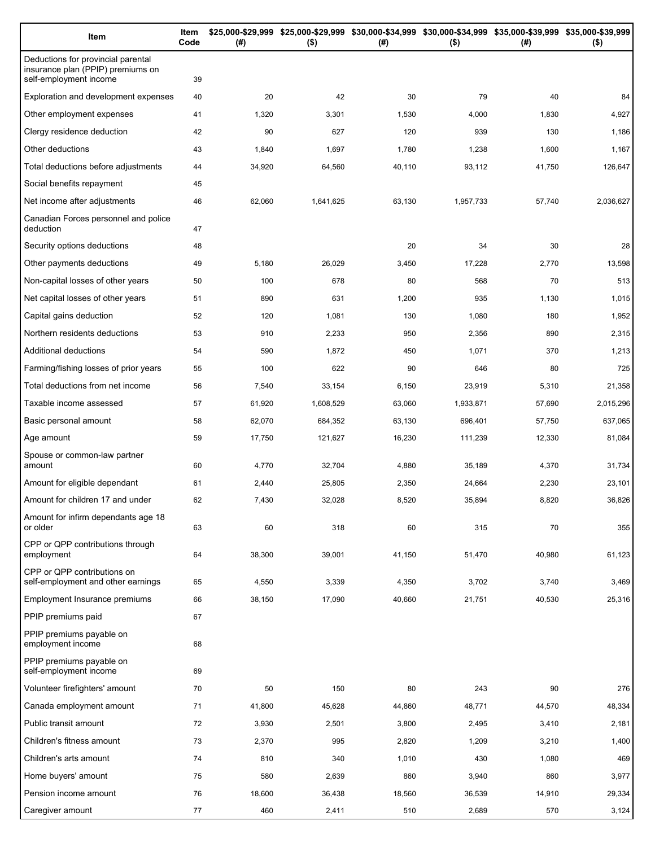| Item                                                                                              | Item<br>Code | (#)    | $($ \$)   | \$25,000-\$29,999 \$25,000-\$29,999 \$30,000-\$34,999 \$30,000-\$34,999 \$35,000-\$39,999 \$35,000-\$39,999<br>(#) | $($ \$)   | (#)    | $($ \$)   |
|---------------------------------------------------------------------------------------------------|--------------|--------|-----------|--------------------------------------------------------------------------------------------------------------------|-----------|--------|-----------|
| Deductions for provincial parental<br>insurance plan (PPIP) premiums on<br>self-employment income | 39           |        |           |                                                                                                                    |           |        |           |
| Exploration and development expenses                                                              | 40           | 20     | 42        | 30                                                                                                                 | 79        | 40     | 84        |
| Other employment expenses                                                                         | 41           | 1,320  | 3,301     | 1,530                                                                                                              | 4,000     | 1,830  | 4,927     |
| Clergy residence deduction                                                                        | 42           | 90     | 627       | 120                                                                                                                | 939       | 130    | 1,186     |
| Other deductions                                                                                  | 43           | 1,840  | 1,697     | 1,780                                                                                                              | 1,238     | 1,600  | 1,167     |
| Total deductions before adjustments                                                               | 44           | 34,920 | 64,560    | 40,110                                                                                                             | 93,112    | 41,750 | 126,647   |
| Social benefits repayment                                                                         | 45           |        |           |                                                                                                                    |           |        |           |
| Net income after adjustments                                                                      | 46           | 62,060 | 1,641,625 | 63,130                                                                                                             | 1,957,733 | 57,740 | 2,036,627 |
| Canadian Forces personnel and police<br>deduction                                                 | 47           |        |           |                                                                                                                    |           |        |           |
| Security options deductions                                                                       | 48           |        |           | 20                                                                                                                 | 34        | 30     | 28        |
| Other payments deductions                                                                         | 49           | 5,180  | 26,029    | 3,450                                                                                                              | 17,228    | 2,770  | 13,598    |
| Non-capital losses of other years                                                                 | 50           | 100    | 678       | 80                                                                                                                 | 568       | 70     | 513       |
| Net capital losses of other years                                                                 | 51           | 890    | 631       | 1,200                                                                                                              | 935       | 1,130  | 1,015     |
| Capital gains deduction                                                                           | 52           | 120    | 1,081     | 130                                                                                                                | 1,080     | 180    | 1,952     |
| Northern residents deductions                                                                     | 53           | 910    | 2,233     | 950                                                                                                                | 2,356     | 890    | 2,315     |
| Additional deductions                                                                             | 54           | 590    | 1,872     | 450                                                                                                                | 1,071     | 370    | 1,213     |
| Farming/fishing losses of prior years                                                             | 55           | 100    | 622       | 90                                                                                                                 | 646       | 80     | 725       |
| Total deductions from net income                                                                  | 56           | 7,540  | 33,154    | 6,150                                                                                                              | 23,919    | 5,310  | 21,358    |
| Taxable income assessed                                                                           | 57           | 61,920 | 1,608,529 | 63,060                                                                                                             | 1,933,871 | 57,690 | 2,015,296 |
| Basic personal amount                                                                             | 58           | 62,070 | 684,352   | 63,130                                                                                                             | 696,401   | 57,750 | 637,065   |
| Age amount                                                                                        | 59           | 17,750 | 121,627   | 16,230                                                                                                             | 111,239   | 12,330 | 81,084    |
| Spouse or common-law partner<br>amount                                                            | 60           | 4,770  | 32,704    | 4,880                                                                                                              | 35,189    | 4,370  | 31,734    |
| Amount for eligible dependant                                                                     | 61           | 2,440  | 25,805    | 2,350                                                                                                              | 24,664    | 2,230  | 23,101    |
| Amount for children 17 and under                                                                  | 62           | 7,430  | 32,028    | 8,520                                                                                                              | 35,894    | 8,820  | 36,826    |
| Amount for infirm dependants age 18<br>or older                                                   | 63           | 60     | 318       | 60                                                                                                                 | 315       | 70     | 355       |
| CPP or QPP contributions through<br>employment                                                    | 64           | 38,300 | 39,001    | 41,150                                                                                                             | 51,470    | 40,980 | 61,123    |
| CPP or QPP contributions on<br>self-employment and other earnings                                 | 65           | 4,550  | 3,339     | 4,350                                                                                                              | 3,702     | 3,740  | 3,469     |
| Employment Insurance premiums                                                                     | 66           | 38,150 | 17,090    | 40,660                                                                                                             | 21,751    | 40,530 | 25,316    |
| PPIP premiums paid                                                                                | 67           |        |           |                                                                                                                    |           |        |           |
| PPIP premiums payable on<br>employment income                                                     | 68           |        |           |                                                                                                                    |           |        |           |
| PPIP premiums payable on<br>self-employment income                                                | 69           |        |           |                                                                                                                    |           |        |           |
| Volunteer firefighters' amount                                                                    | 70           | 50     | 150       | 80                                                                                                                 | 243       | 90     | 276       |
| Canada employment amount                                                                          | 71           | 41,800 | 45,628    | 44,860                                                                                                             | 48,771    | 44,570 | 48,334    |
| Public transit amount                                                                             | 72           | 3,930  | 2,501     | 3,800                                                                                                              | 2,495     | 3,410  | 2,181     |
| Children's fitness amount                                                                         | 73           | 2,370  | 995       | 2,820                                                                                                              | 1,209     | 3,210  | 1,400     |
| Children's arts amount                                                                            | 74           | 810    | 340       | 1,010                                                                                                              | 430       | 1,080  | 469       |
| Home buyers' amount                                                                               | 75           | 580    | 2,639     | 860                                                                                                                | 3,940     | 860    | 3,977     |
| Pension income amount                                                                             | 76           | 18,600 | 36,438    | 18,560                                                                                                             | 36,539    | 14,910 | 29,334    |
| Caregiver amount                                                                                  | 77           | 460    | 2,411     | 510                                                                                                                | 2,689     | 570    | 3,124     |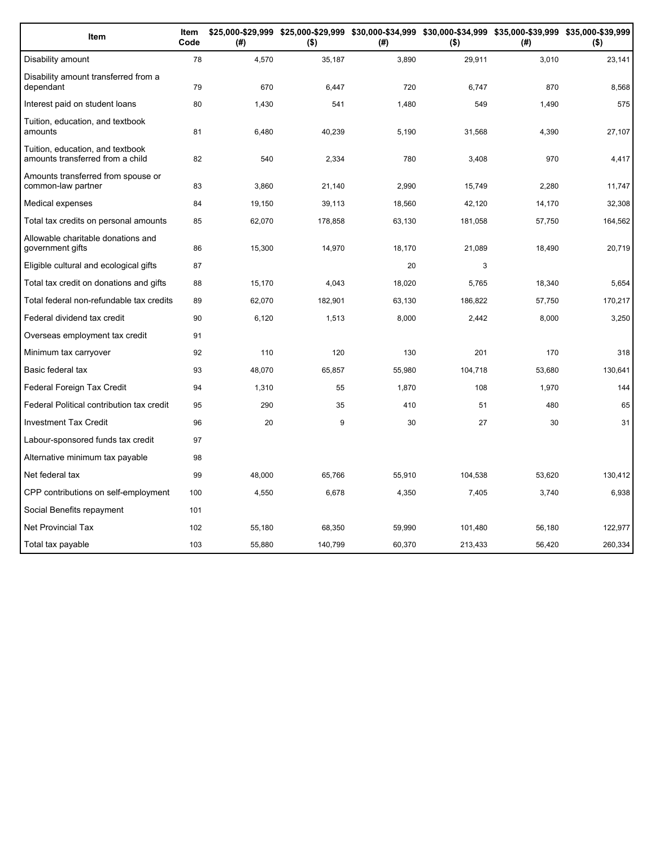| Item                                                                 | Item<br>Code | (# )   | \$25,000-\$29,999 \$25,000-\$29,999 \$30,000-\$34,999 \$30,000-\$34,999 \$35,000-\$39,999 \$35,000-\$39,999<br>( \$) | (#)    | $($ \$) | (#)    | $($ \$) |
|----------------------------------------------------------------------|--------------|--------|----------------------------------------------------------------------------------------------------------------------|--------|---------|--------|---------|
| Disability amount                                                    | 78           | 4,570  | 35,187                                                                                                               | 3,890  | 29,911  | 3,010  | 23,141  |
| Disability amount transferred from a<br>dependant                    | 79           | 670    | 6,447                                                                                                                | 720    | 6,747   | 870    | 8,568   |
| Interest paid on student loans                                       | 80           | 1,430  | 541                                                                                                                  | 1,480  | 549     | 1,490  | 575     |
| Tuition, education, and textbook<br>amounts                          | 81           | 6,480  | 40,239                                                                                                               | 5,190  | 31,568  | 4,390  | 27,107  |
| Tuition, education, and textbook<br>amounts transferred from a child | 82           | 540    | 2,334                                                                                                                | 780    | 3,408   | 970    | 4,417   |
| Amounts transferred from spouse or<br>common-law partner             | 83           | 3,860  | 21,140                                                                                                               | 2,990  | 15,749  | 2,280  | 11,747  |
| Medical expenses                                                     | 84           | 19,150 | 39,113                                                                                                               | 18,560 | 42,120  | 14,170 | 32,308  |
| Total tax credits on personal amounts                                | 85           | 62,070 | 178,858                                                                                                              | 63,130 | 181,058 | 57,750 | 164,562 |
| Allowable charitable donations and<br>government gifts               | 86           | 15,300 | 14,970                                                                                                               | 18,170 | 21,089  | 18,490 | 20,719  |
| Eligible cultural and ecological gifts                               | 87           |        |                                                                                                                      | 20     | 3       |        |         |
| Total tax credit on donations and gifts                              | 88           | 15,170 | 4,043                                                                                                                | 18,020 | 5.765   | 18,340 | 5,654   |
| Total federal non-refundable tax credits                             | 89           | 62,070 | 182,901                                                                                                              | 63,130 | 186,822 | 57,750 | 170,217 |
| Federal dividend tax credit                                          | 90           | 6,120  | 1,513                                                                                                                | 8,000  | 2.442   | 8,000  | 3,250   |
| Overseas employment tax credit                                       | 91           |        |                                                                                                                      |        |         |        |         |
| Minimum tax carryover                                                | 92           | 110    | 120                                                                                                                  | 130    | 201     | 170    | 318     |
| Basic federal tax                                                    | 93           | 48,070 | 65,857                                                                                                               | 55,980 | 104,718 | 53,680 | 130,641 |
| Federal Foreign Tax Credit                                           | 94           | 1,310  | 55                                                                                                                   | 1,870  | 108     | 1,970  | 144     |
| Federal Political contribution tax credit                            | 95           | 290    | 35                                                                                                                   | 410    | 51      | 480    | 65      |
| <b>Investment Tax Credit</b>                                         | 96           | 20     | 9                                                                                                                    | 30     | 27      | 30     | 31      |
| Labour-sponsored funds tax credit                                    | 97           |        |                                                                                                                      |        |         |        |         |
| Alternative minimum tax payable                                      | 98           |        |                                                                                                                      |        |         |        |         |
| Net federal tax                                                      | 99           | 48,000 | 65,766                                                                                                               | 55,910 | 104,538 | 53,620 | 130,412 |
| CPP contributions on self-employment                                 | 100          | 4,550  | 6,678                                                                                                                | 4,350  | 7,405   | 3,740  | 6,938   |
| Social Benefits repayment                                            | 101          |        |                                                                                                                      |        |         |        |         |
| <b>Net Provincial Tax</b>                                            | 102          | 55,180 | 68,350                                                                                                               | 59,990 | 101,480 | 56,180 | 122,977 |
| Total tax payable                                                    | 103          | 55,880 | 140,799                                                                                                              | 60,370 | 213,433 | 56,420 | 260,334 |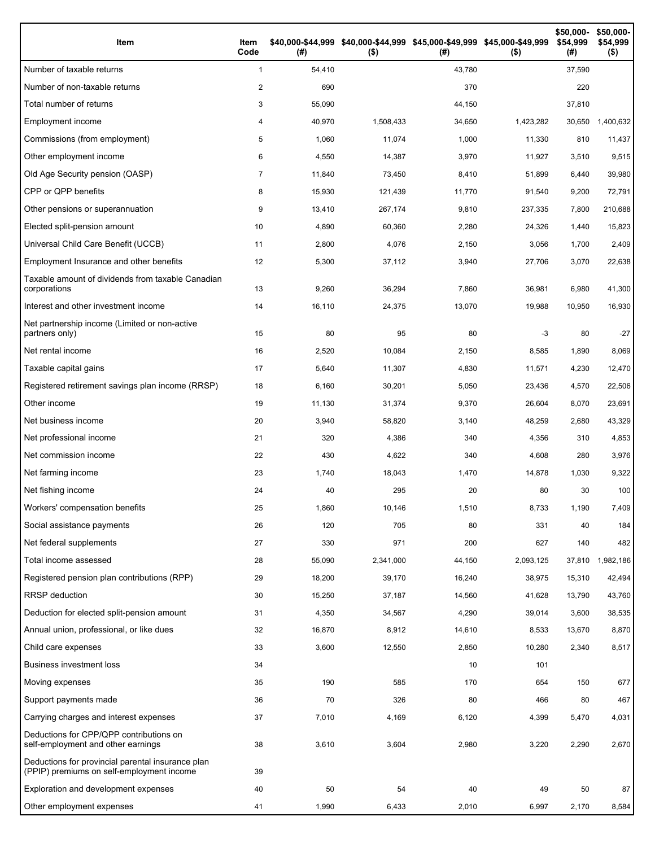| Item                                                                                           | Item<br>Code   | (#)    | \$40,000-\$44,999 \$40,000-\$44,999 \$45,000-\$49,999 \$45,000-\$49,999<br>$($ \$) | (#)    | $($ \$)   | \$50,000-<br>\$54,999<br>(#) | \$50,000-<br>\$54,999<br>$($ \$) |
|------------------------------------------------------------------------------------------------|----------------|--------|------------------------------------------------------------------------------------|--------|-----------|------------------------------|----------------------------------|
| Number of taxable returns                                                                      | $\mathbf{1}$   | 54,410 |                                                                                    | 43,780 |           | 37,590                       |                                  |
| Number of non-taxable returns                                                                  | 2              | 690    |                                                                                    | 370    |           | 220                          |                                  |
| Total number of returns                                                                        | 3              | 55,090 |                                                                                    | 44,150 |           | 37,810                       |                                  |
| Employment income                                                                              | 4              | 40,970 | 1,508,433                                                                          | 34,650 | 1,423,282 | 30,650                       | 1,400,632                        |
| Commissions (from employment)                                                                  | 5              | 1,060  | 11,074                                                                             | 1,000  | 11,330    | 810                          | 11,437                           |
| Other employment income                                                                        | 6              | 4,550  | 14,387                                                                             | 3,970  | 11,927    | 3,510                        | 9,515                            |
| Old Age Security pension (OASP)                                                                | $\overline{7}$ | 11,840 | 73,450                                                                             | 8,410  | 51,899    | 6,440                        | 39,980                           |
| CPP or QPP benefits                                                                            | 8              | 15,930 | 121,439                                                                            | 11,770 | 91,540    | 9,200                        | 72,791                           |
| Other pensions or superannuation                                                               | 9              | 13,410 | 267,174                                                                            | 9,810  | 237,335   | 7,800                        | 210,688                          |
| Elected split-pension amount                                                                   | 10             | 4,890  | 60,360                                                                             | 2,280  | 24,326    | 1,440                        | 15,823                           |
| Universal Child Care Benefit (UCCB)                                                            | 11             | 2,800  | 4,076                                                                              | 2,150  | 3,056     | 1,700                        | 2,409                            |
| Employment Insurance and other benefits                                                        | 12             | 5,300  | 37,112                                                                             | 3,940  | 27,706    | 3,070                        | 22,638                           |
| Taxable amount of dividends from taxable Canadian<br>corporations                              | 13             | 9,260  | 36,294                                                                             | 7,860  | 36,981    | 6,980                        | 41,300                           |
| Interest and other investment income                                                           | 14             | 16,110 | 24,375                                                                             | 13,070 | 19,988    | 10,950                       | 16,930                           |
| Net partnership income (Limited or non-active<br>partners only)                                | 15             | 80     | 95                                                                                 | 80     | -3        | 80                           | $-27$                            |
| Net rental income                                                                              | 16             | 2,520  | 10,084                                                                             | 2,150  | 8,585     | 1,890                        | 8,069                            |
| Taxable capital gains                                                                          | 17             | 5,640  | 11,307                                                                             | 4,830  | 11,571    | 4,230                        | 12,470                           |
| Registered retirement savings plan income (RRSP)                                               | 18             | 6,160  | 30,201                                                                             | 5,050  | 23,436    | 4,570                        | 22,506                           |
| Other income                                                                                   | 19             | 11,130 | 31,374                                                                             | 9,370  | 26,604    | 8,070                        | 23,691                           |
| Net business income                                                                            | 20             | 3,940  | 58,820                                                                             | 3,140  | 48,259    | 2,680                        | 43,329                           |
| Net professional income                                                                        | 21             | 320    | 4,386                                                                              | 340    | 4,356     | 310                          | 4,853                            |
| Net commission income                                                                          | 22             | 430    | 4,622                                                                              | 340    | 4,608     | 280                          | 3,976                            |
| Net farming income                                                                             | 23             | 1,740  | 18,043                                                                             | 1,470  | 14,878    | 1,030                        | 9,322                            |
| Net fishing income                                                                             | 24             | 40     | 295                                                                                | 20     | 80        | 30                           | 100                              |
| Workers' compensation benefits                                                                 | 25             | 1,860  | 10,146                                                                             | 1,510  | 8,733     | 1,190                        | 7,409                            |
| Social assistance payments                                                                     | 26             | 120    | 705                                                                                | 80     | 331       | 40                           | 184                              |
| Net federal supplements                                                                        | 27             | 330    | 971                                                                                | 200    | 627       | 140                          | 482                              |
| Total income assessed                                                                          | 28             | 55,090 | 2,341,000                                                                          | 44,150 | 2,093,125 | 37,810                       | 1,982,186                        |
| Registered pension plan contributions (RPP)                                                    | 29             | 18,200 | 39,170                                                                             | 16,240 | 38,975    | 15,310                       | 42,494                           |
| RRSP deduction                                                                                 | 30             | 15,250 | 37,187                                                                             | 14,560 | 41,628    | 13,790                       | 43,760                           |
| Deduction for elected split-pension amount                                                     | 31             | 4,350  | 34,567                                                                             | 4,290  | 39,014    | 3,600                        | 38,535                           |
| Annual union, professional, or like dues                                                       | 32             | 16,870 | 8,912                                                                              | 14,610 | 8,533     | 13,670                       | 8,870                            |
| Child care expenses                                                                            | 33             | 3,600  | 12,550                                                                             | 2,850  | 10,280    | 2,340                        | 8,517                            |
| <b>Business investment loss</b>                                                                | 34             |        |                                                                                    | 10     | 101       |                              |                                  |
| Moving expenses                                                                                | 35             | 190    | 585                                                                                | 170    | 654       | 150                          | 677                              |
| Support payments made                                                                          | 36             | 70     | 326                                                                                | 80     | 466       | 80                           | 467                              |
| Carrying charges and interest expenses                                                         | 37             | 7,010  | 4,169                                                                              | 6,120  | 4,399     | 5,470                        | 4,031                            |
| Deductions for CPP/QPP contributions on<br>self-employment and other earnings                  | 38             | 3,610  | 3,604                                                                              | 2,980  | 3,220     | 2,290                        | 2,670                            |
| Deductions for provincial parental insurance plan<br>(PPIP) premiums on self-employment income | 39             |        |                                                                                    |        |           |                              |                                  |
| Exploration and development expenses                                                           | 40             | 50     | 54                                                                                 | 40     | 49        | 50                           | 87                               |
| Other employment expenses                                                                      | 41             | 1,990  | 6,433                                                                              | 2,010  | 6,997     | 2,170                        | 8,584                            |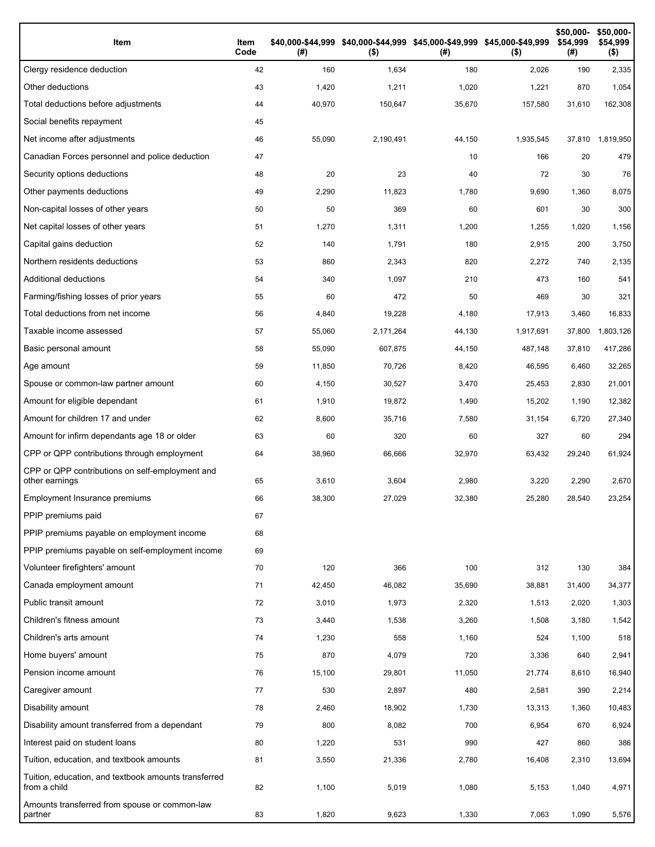| Item                                                                 | Item<br>Code | (#)    | \$40,000-\$44,999 \$40,000-\$44,999 \$45,000-\$49,999 \$45,000-\$49,999<br>$($ \$) | (#)    | $($ \$)   | \$50,000-<br>\$54.999<br>(#) | \$50,000-<br>\$54,999<br>$($ \$) |
|----------------------------------------------------------------------|--------------|--------|------------------------------------------------------------------------------------|--------|-----------|------------------------------|----------------------------------|
| Clergy residence deduction                                           | 42           | 160    | 1,634                                                                              | 180    | 2,026     | 190                          | 2,335                            |
| Other deductions                                                     | 43           | 1,420  | 1,211                                                                              | 1,020  | 1,221     | 870                          | 1,054                            |
| Total deductions before adjustments                                  | 44           | 40,970 | 150,647                                                                            | 35,670 | 157,580   | 31,610                       | 162,308                          |
| Social benefits repayment                                            | 45           |        |                                                                                    |        |           |                              |                                  |
| Net income after adjustments                                         | 46           | 55,090 | 2,190,491                                                                          | 44,150 | 1,935,545 | 37,810                       | 1,819,950                        |
| Canadian Forces personnel and police deduction                       | 47           |        |                                                                                    | 10     | 166       | 20                           | 479                              |
| Security options deductions                                          | 48           | 20     | 23                                                                                 | 40     | 72        | 30                           | 76                               |
| Other payments deductions                                            | 49           | 2,290  | 11,823                                                                             | 1,780  | 9,690     | 1,360                        | 8,075                            |
| Non-capital losses of other years                                    | 50           | 50     | 369                                                                                | 60     | 601       | 30                           | 300                              |
| Net capital losses of other years                                    | 51           | 1,270  | 1,311                                                                              | 1,200  | 1,255     | 1,020                        | 1,156                            |
| Capital gains deduction                                              | 52           | 140    | 1,791                                                                              | 180    | 2,915     | 200                          | 3,750                            |
| Northern residents deductions                                        | 53           | 860    | 2,343                                                                              | 820    | 2,272     | 740                          | 2,135                            |
| Additional deductions                                                | 54           | 340    | 1,097                                                                              | 210    | 473       | 160                          | 541                              |
| Farming/fishing losses of prior years                                | 55           | 60     | 472                                                                                | 50     | 469       | 30                           | 321                              |
| Total deductions from net income                                     | 56           | 4,840  | 19,228                                                                             | 4,180  | 17,913    | 3,460                        | 16,833                           |
| Taxable income assessed                                              | 57           | 55,060 | 2,171,264                                                                          | 44,130 | 1,917,691 | 37,800                       | 1,803,126                        |
| Basic personal amount                                                | 58           | 55,090 | 607,875                                                                            | 44,150 | 487,148   | 37,810                       | 417,286                          |
| Age amount                                                           | 59           | 11,850 | 70,726                                                                             | 8,420  | 46,595    | 6,460                        | 32,265                           |
| Spouse or common-law partner amount                                  | 60           | 4,150  | 30,527                                                                             | 3,470  | 25,453    | 2,830                        | 21,001                           |
| Amount for eligible dependant                                        | 61           | 1,910  | 19,872                                                                             | 1,490  | 15,202    | 1,190                        | 12,382                           |
| Amount for children 17 and under                                     | 62           | 8,600  | 35,716                                                                             | 7,580  | 31,154    | 6,720                        | 27,340                           |
| Amount for infirm dependants age 18 or older                         | 63           | 60     | 320                                                                                | 60     | 327       | 60                           | 294                              |
| CPP or QPP contributions through employment                          | 64           | 38,960 | 66,666                                                                             | 32,970 | 63,432    | 29,240                       | 61,924                           |
| CPP or QPP contributions on self-employment and<br>other earnings    | 65           | 3,610  | 3,604                                                                              | 2,980  | 3,220     | 2,290                        | 2,670                            |
| Employment Insurance premiums                                        | 66           | 38,300 | 27,029                                                                             | 32,380 | 25,280    | 28,540                       | 23,254                           |
| PPIP premiums paid                                                   | 67           |        |                                                                                    |        |           |                              |                                  |
| PPIP premiums payable on employment income                           | 68           |        |                                                                                    |        |           |                              |                                  |
| PPIP premiums payable on self-employment income                      | 69           |        |                                                                                    |        |           |                              |                                  |
| Volunteer firefighters' amount                                       | 70           | 120    | 366                                                                                | 100    | 312       | 130                          | 384                              |
| Canada employment amount                                             | 71           | 42,450 | 46,082                                                                             | 35,690 | 38,881    | 31,400                       | 34,377                           |
| Public transit amount                                                | 72           | 3,010  | 1,973                                                                              | 2,320  | 1,513     | 2,020                        | 1,303                            |
| Children's fitness amount                                            | 73           | 3,440  | 1,538                                                                              | 3,260  | 1,508     | 3,180                        | 1,542                            |
| Children's arts amount                                               | 74           | 1,230  | 558                                                                                | 1,160  | 524       | 1,100                        | 518                              |
| Home buyers' amount                                                  | 75           | 870    | 4,079                                                                              | 720    | 3,336     | 640                          | 2,941                            |
| Pension income amount                                                | 76           | 15,100 | 29,801                                                                             | 11,050 | 21,774    | 8,610                        | 16,940                           |
| Caregiver amount                                                     | 77           | 530    | 2,897                                                                              | 480    | 2,581     | 390                          | 2,214                            |
| Disability amount                                                    | 78           | 2,460  | 18,902                                                                             | 1,730  | 13,313    | 1,360                        | 10,483                           |
| Disability amount transferred from a dependant                       | 79           | 800    | 8,082                                                                              | 700    | 6,954     | 670                          | 6,924                            |
| Interest paid on student loans                                       | 80           | 1,220  | 531                                                                                | 990    | 427       | 860                          | 386                              |
| Tuition, education, and textbook amounts                             | 81           | 3,550  | 21,336                                                                             | 2,780  | 16,408    | 2,310                        | 13,694                           |
| Tuition, education, and textbook amounts transferred<br>from a child | 82           | 1,100  | 5,019                                                                              | 1,080  | 5,153     | 1,040                        | 4,971                            |
| Amounts transferred from spouse or common-law<br>partner             | 83           | 1,820  | 9,623                                                                              | 1,330  | 7,063     | 1,090                        | 5,576                            |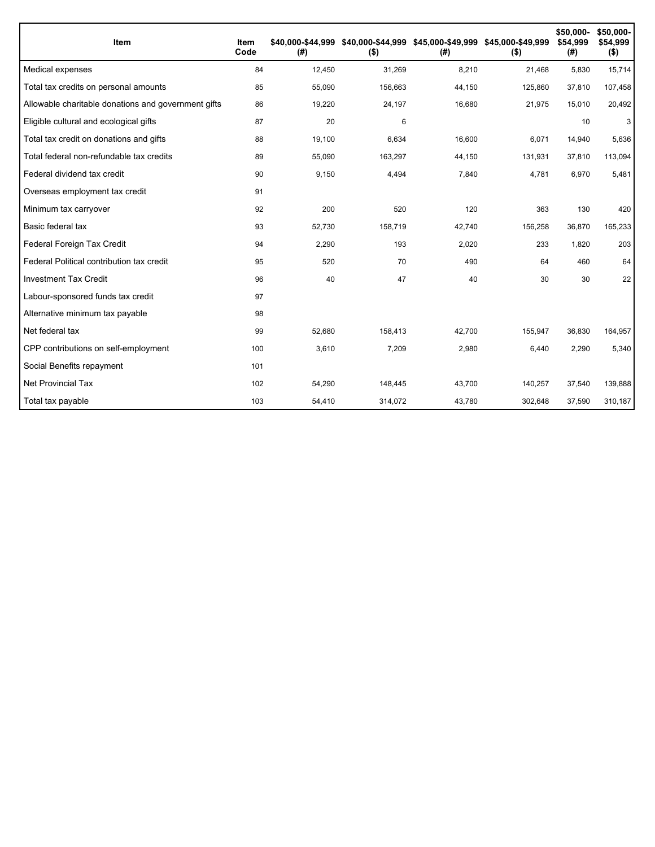| <b>Item</b>                                         | Item<br>Code | \$40.000-\$44.999<br>(#) | $($ \$) | \$40,000-\$44,999 \$45,000-\$49,999 \$45,000-\$49,999<br>(#) | $($ \$) | \$50,000-<br>\$54,999<br>(#) | \$50,000-<br>\$54,999<br>$($ \$) |
|-----------------------------------------------------|--------------|--------------------------|---------|--------------------------------------------------------------|---------|------------------------------|----------------------------------|
| Medical expenses                                    | 84           | 12,450                   | 31,269  | 8,210                                                        | 21,468  | 5,830                        | 15,714                           |
| Total tax credits on personal amounts               | 85           | 55,090                   | 156,663 | 44,150                                                       | 125,860 | 37,810                       | 107,458                          |
| Allowable charitable donations and government gifts | 86           | 19,220                   | 24,197  | 16,680                                                       | 21,975  | 15,010                       | 20,492                           |
| Eligible cultural and ecological gifts              | 87           | 20                       | 6       |                                                              |         | 10                           | 3                                |
| Total tax credit on donations and gifts             | 88           | 19,100                   | 6,634   | 16,600                                                       | 6,071   | 14,940                       | 5,636                            |
| Total federal non-refundable tax credits            | 89           | 55,090                   | 163,297 | 44,150                                                       | 131,931 | 37,810                       | 113,094                          |
| Federal dividend tax credit                         | 90           | 9,150                    | 4,494   | 7,840                                                        | 4,781   | 6,970                        | 5,481                            |
| Overseas employment tax credit                      | 91           |                          |         |                                                              |         |                              |                                  |
| Minimum tax carryover                               | 92           | 200                      | 520     | 120                                                          | 363     | 130                          | 420                              |
| Basic federal tax                                   | 93           | 52,730                   | 158,719 | 42,740                                                       | 156,258 | 36,870                       | 165,233                          |
| Federal Foreign Tax Credit                          | 94           | 2,290                    | 193     | 2,020                                                        | 233     | 1,820                        | 203                              |
| Federal Political contribution tax credit           | 95           | 520                      | 70      | 490                                                          | 64      | 460                          | 64                               |
| <b>Investment Tax Credit</b>                        | 96           | 40                       | 47      | 40                                                           | 30      | 30                           | 22                               |
| Labour-sponsored funds tax credit                   | 97           |                          |         |                                                              |         |                              |                                  |
| Alternative minimum tax payable                     | 98           |                          |         |                                                              |         |                              |                                  |
| Net federal tax                                     | 99           | 52,680                   | 158,413 | 42,700                                                       | 155,947 | 36,830                       | 164,957                          |
| CPP contributions on self-employment                | 100          | 3,610                    | 7,209   | 2,980                                                        | 6,440   | 2,290                        | 5,340                            |
| Social Benefits repayment                           | 101          |                          |         |                                                              |         |                              |                                  |
| <b>Net Provincial Tax</b>                           | 102          | 54,290                   | 148,445 | 43,700                                                       | 140,257 | 37,540                       | 139,888                          |
| Total tax payable                                   | 103          | 54,410                   | 314,072 | 43,780                                                       | 302,648 | 37,590                       | 310,187                          |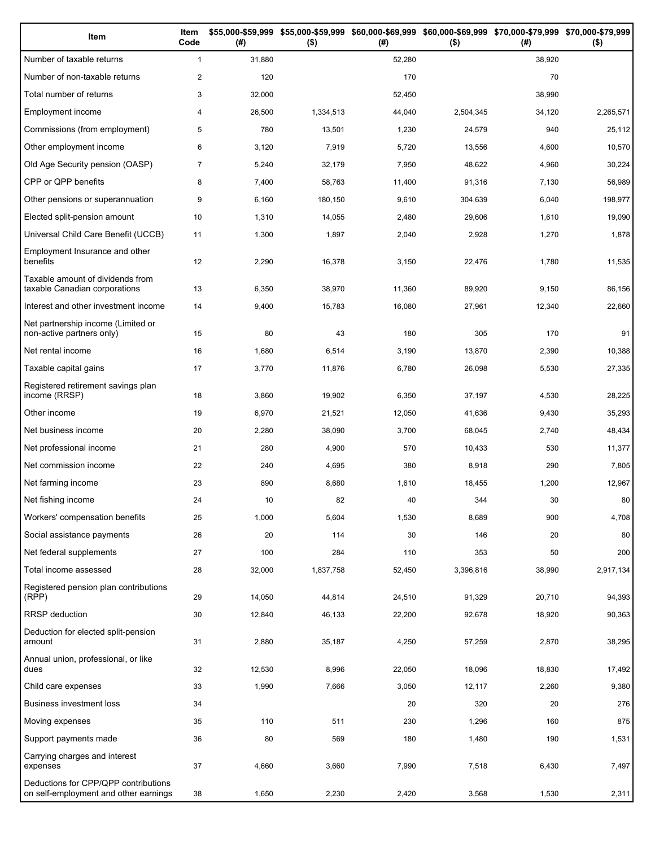| Item                                                                          | Item<br>Code   | (#)    | \$55,000-\$59,999 \$55,000-\$59,999 \$60,000-\$69,999 \$60,000-\$69,999 \$70,000-\$79,999 \$70,000-\$79,999<br>$($ \$) | (# )   | $($ \$)   | (# )   | $($ \$)   |
|-------------------------------------------------------------------------------|----------------|--------|------------------------------------------------------------------------------------------------------------------------|--------|-----------|--------|-----------|
| Number of taxable returns                                                     | $\mathbf{1}$   | 31,880 |                                                                                                                        | 52,280 |           | 38,920 |           |
| Number of non-taxable returns                                                 | $\overline{c}$ | 120    |                                                                                                                        | 170    |           | 70     |           |
| Total number of returns                                                       | 3              | 32,000 |                                                                                                                        | 52,450 |           | 38,990 |           |
| Employment income                                                             | 4              | 26,500 | 1,334,513                                                                                                              | 44,040 | 2,504,345 | 34,120 | 2,265,571 |
| Commissions (from employment)                                                 | 5              | 780    | 13,501                                                                                                                 | 1,230  | 24,579    | 940    | 25,112    |
| Other employment income                                                       | 6              | 3,120  | 7,919                                                                                                                  | 5,720  | 13,556    | 4,600  | 10,570    |
| Old Age Security pension (OASP)                                               | $\overline{7}$ | 5,240  | 32,179                                                                                                                 | 7,950  | 48,622    | 4,960  | 30,224    |
| CPP or QPP benefits                                                           | 8              | 7,400  | 58,763                                                                                                                 | 11,400 | 91,316    | 7,130  | 56,989    |
| Other pensions or superannuation                                              | 9              | 6,160  | 180,150                                                                                                                | 9,610  | 304,639   | 6,040  | 198,977   |
| Elected split-pension amount                                                  | 10             | 1,310  | 14,055                                                                                                                 | 2,480  | 29,606    | 1,610  | 19,090    |
| Universal Child Care Benefit (UCCB)                                           | 11             | 1,300  | 1,897                                                                                                                  | 2,040  | 2,928     | 1,270  | 1,878     |
| Employment Insurance and other<br>benefits                                    | 12             | 2,290  | 16,378                                                                                                                 | 3,150  | 22,476    | 1,780  | 11,535    |
| Taxable amount of dividends from<br>taxable Canadian corporations             | 13             | 6,350  | 38,970                                                                                                                 | 11,360 | 89,920    | 9,150  | 86,156    |
| Interest and other investment income                                          | 14             | 9,400  | 15,783                                                                                                                 | 16,080 | 27,961    | 12,340 | 22,660    |
| Net partnership income (Limited or<br>non-active partners only)               | 15             | 80     | 43                                                                                                                     | 180    | 305       | 170    | 91        |
| Net rental income                                                             | 16             | 1,680  | 6,514                                                                                                                  | 3,190  | 13,870    | 2,390  | 10,388    |
| Taxable capital gains                                                         | 17             | 3,770  | 11,876                                                                                                                 | 6,780  | 26,098    | 5,530  | 27,335    |
| Registered retirement savings plan<br>income (RRSP)                           | 18             | 3,860  | 19,902                                                                                                                 | 6,350  | 37,197    | 4,530  | 28,225    |
| Other income                                                                  | 19             | 6,970  | 21,521                                                                                                                 | 12,050 | 41,636    | 9,430  | 35,293    |
| Net business income                                                           | 20             | 2,280  | 38,090                                                                                                                 | 3,700  | 68,045    | 2,740  | 48,434    |
| Net professional income                                                       | 21             | 280    | 4,900                                                                                                                  | 570    | 10,433    | 530    | 11,377    |
| Net commission income                                                         | 22             | 240    | 4,695                                                                                                                  | 380    | 8,918     | 290    | 7,805     |
| Net farming income                                                            | 23             | 890    | 8,680                                                                                                                  | 1,610  | 18,455    | 1,200  | 12,967    |
| Net fishing income                                                            | 24             | 10     | 82                                                                                                                     | 40     | 344       | 30     | 80        |
| Workers' compensation benefits                                                | 25             | 1,000  | 5,604                                                                                                                  | 1,530  | 8,689     | 900    | 4,708     |
| Social assistance payments                                                    | 26             | 20     | 114                                                                                                                    | 30     | 146       | 20     | 80        |
| Net federal supplements                                                       | 27             | 100    | 284                                                                                                                    | 110    | 353       | 50     | 200       |
| Total income assessed                                                         | 28             | 32,000 | 1,837,758                                                                                                              | 52,450 | 3,396,816 | 38,990 | 2,917,134 |
| Registered pension plan contributions<br>(RPP)                                | 29             | 14,050 | 44,814                                                                                                                 | 24,510 | 91,329    | 20,710 | 94,393    |
| RRSP deduction                                                                | 30             | 12,840 | 46,133                                                                                                                 | 22,200 | 92,678    | 18,920 | 90,363    |
| Deduction for elected split-pension<br>amount                                 | 31             | 2,880  | 35,187                                                                                                                 | 4,250  | 57,259    | 2,870  | 38,295    |
| Annual union, professional, or like<br>dues                                   | 32             | 12,530 | 8,996                                                                                                                  | 22,050 | 18,096    | 18,830 | 17,492    |
| Child care expenses                                                           | 33             | 1,990  | 7,666                                                                                                                  | 3,050  | 12,117    | 2,260  | 9,380     |
| Business investment loss                                                      | 34             |        |                                                                                                                        | 20     | 320       | 20     | 276       |
| Moving expenses                                                               | 35             | 110    | 511                                                                                                                    | 230    | 1,296     | 160    | 875       |
| Support payments made                                                         | 36             | 80     | 569                                                                                                                    | 180    | 1,480     | 190    | 1,531     |
| Carrying charges and interest<br>expenses                                     | 37             | 4,660  | 3,660                                                                                                                  | 7,990  | 7,518     | 6,430  | 7,497     |
| Deductions for CPP/QPP contributions<br>on self-employment and other earnings | 38             | 1,650  | 2,230                                                                                                                  | 2,420  | 3,568     | 1,530  | 2,311     |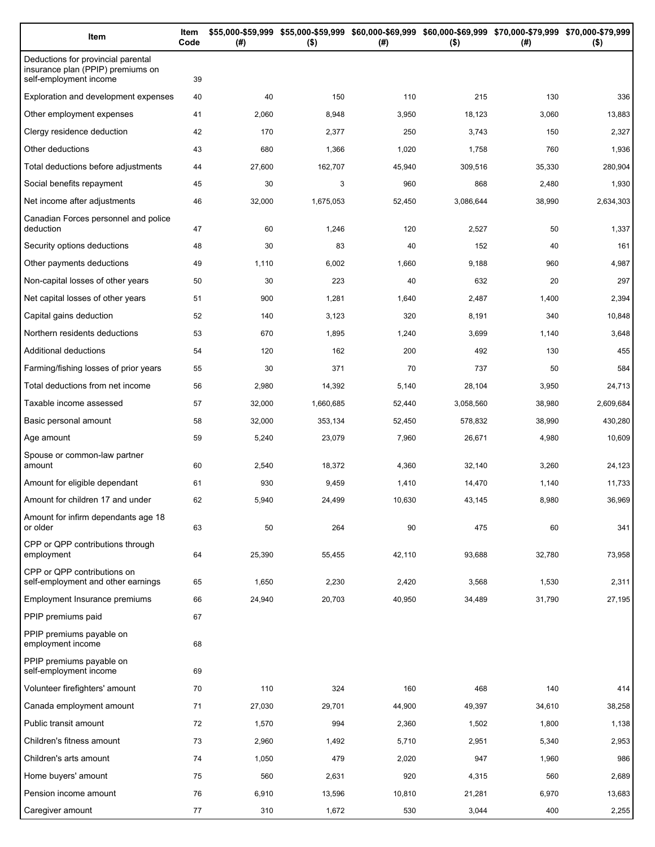| Item                                                                                              | Item<br>Code | (# )   | \$55,000-\$59,999 \$55,000-\$59,999 \$60,000-\$69,999 \$60,000-\$69,999 \$70,000-\$79,999 \$70,000-\$79,999<br>$($ \$) | (# )   | $($ \$)   | (# )   | $($ \$)   |
|---------------------------------------------------------------------------------------------------|--------------|--------|------------------------------------------------------------------------------------------------------------------------|--------|-----------|--------|-----------|
| Deductions for provincial parental<br>insurance plan (PPIP) premiums on<br>self-employment income | 39           |        |                                                                                                                        |        |           |        |           |
| Exploration and development expenses                                                              | 40           | 40     | 150                                                                                                                    | 110    | 215       | 130    | 336       |
| Other employment expenses                                                                         | 41           | 2,060  | 8,948                                                                                                                  | 3,950  | 18,123    | 3,060  | 13,883    |
| Clergy residence deduction                                                                        | 42           | 170    | 2,377                                                                                                                  | 250    | 3,743     | 150    | 2,327     |
| Other deductions                                                                                  | 43           | 680    | 1,366                                                                                                                  | 1,020  | 1,758     | 760    | 1,936     |
| Total deductions before adjustments                                                               | 44           | 27,600 | 162,707                                                                                                                | 45,940 | 309,516   | 35,330 | 280,904   |
| Social benefits repayment                                                                         | 45           | 30     | 3                                                                                                                      | 960    | 868       | 2,480  | 1,930     |
| Net income after adjustments                                                                      | 46           | 32,000 | 1,675,053                                                                                                              | 52,450 | 3,086,644 | 38,990 | 2,634,303 |
| Canadian Forces personnel and police<br>deduction                                                 | 47           | 60     | 1,246                                                                                                                  | 120    | 2,527     | 50     | 1,337     |
| Security options deductions                                                                       | 48           | 30     | 83                                                                                                                     | 40     | 152       | 40     | 161       |
| Other payments deductions                                                                         | 49           | 1,110  | 6,002                                                                                                                  | 1,660  | 9,188     | 960    | 4,987     |
| Non-capital losses of other years                                                                 | 50           | 30     | 223                                                                                                                    | 40     | 632       | 20     | 297       |
| Net capital losses of other years                                                                 | 51           | 900    | 1,281                                                                                                                  | 1,640  | 2,487     | 1,400  | 2,394     |
| Capital gains deduction                                                                           | 52           | 140    | 3,123                                                                                                                  | 320    | 8,191     | 340    | 10,848    |
| Northern residents deductions                                                                     | 53           | 670    | 1,895                                                                                                                  | 1,240  | 3,699     | 1,140  | 3,648     |
| Additional deductions                                                                             | 54           | 120    | 162                                                                                                                    | 200    | 492       | 130    | 455       |
| Farming/fishing losses of prior years                                                             | 55           | 30     | 371                                                                                                                    | 70     | 737       | 50     | 584       |
| Total deductions from net income                                                                  | 56           | 2,980  | 14,392                                                                                                                 | 5,140  | 28,104    | 3,950  | 24,713    |
| Taxable income assessed                                                                           | 57           | 32,000 | 1,660,685                                                                                                              | 52,440 | 3,058,560 | 38,980 | 2,609,684 |
| Basic personal amount                                                                             | 58           | 32,000 | 353,134                                                                                                                | 52,450 | 578,832   | 38,990 | 430,280   |
| Age amount                                                                                        | 59           | 5,240  | 23,079                                                                                                                 | 7,960  | 26,671    | 4,980  | 10,609    |
| Spouse or common-law partner<br>amount                                                            | 60           | 2,540  | 18,372                                                                                                                 | 4,360  | 32,140    | 3,260  | 24,123    |
| Amount for eligible dependant                                                                     | 61           | 930    | 9,459                                                                                                                  | 1,410  | 14,470    | 1,140  | 11,733    |
| Amount for children 17 and under                                                                  | 62           | 5,940  | 24,499                                                                                                                 | 10,630 | 43,145    | 8,980  | 36,969    |
| Amount for infirm dependants age 18<br>or older                                                   | 63           | 50     | 264                                                                                                                    | 90     | 475       | 60     | 341       |
| CPP or QPP contributions through<br>employment                                                    | 64           | 25,390 | 55,455                                                                                                                 | 42,110 | 93,688    | 32,780 | 73,958    |
| CPP or QPP contributions on<br>self-employment and other earnings                                 | 65           | 1,650  | 2,230                                                                                                                  | 2,420  | 3,568     | 1,530  | 2,311     |
| Employment Insurance premiums                                                                     | 66           | 24,940 | 20,703                                                                                                                 | 40,950 | 34,489    | 31,790 | 27,195    |
| PPIP premiums paid                                                                                | 67           |        |                                                                                                                        |        |           |        |           |
| PPIP premiums payable on<br>employment income                                                     | 68           |        |                                                                                                                        |        |           |        |           |
| PPIP premiums payable on<br>self-employment income                                                | 69           |        |                                                                                                                        |        |           |        |           |
| Volunteer firefighters' amount                                                                    | 70           | 110    | 324                                                                                                                    | 160    | 468       | 140    | 414       |
| Canada employment amount                                                                          | 71           | 27,030 | 29,701                                                                                                                 | 44,900 | 49,397    | 34,610 | 38,258    |
| Public transit amount                                                                             | 72           | 1,570  | 994                                                                                                                    | 2,360  | 1,502     | 1,800  | 1,138     |
| Children's fitness amount                                                                         | 73           | 2,960  | 1,492                                                                                                                  | 5,710  | 2,951     | 5,340  | 2,953     |
| Children's arts amount                                                                            | 74           | 1,050  | 479                                                                                                                    | 2,020  | 947       | 1,960  | 986       |
| Home buyers' amount                                                                               | 75           | 560    | 2,631                                                                                                                  | 920    | 4,315     | 560    | 2,689     |
| Pension income amount                                                                             | 76           | 6,910  | 13,596                                                                                                                 | 10,810 | 21,281    | 6,970  | 13,683    |
| Caregiver amount                                                                                  | 77           | 310    | 1,672                                                                                                                  | 530    | 3,044     | 400    | 2,255     |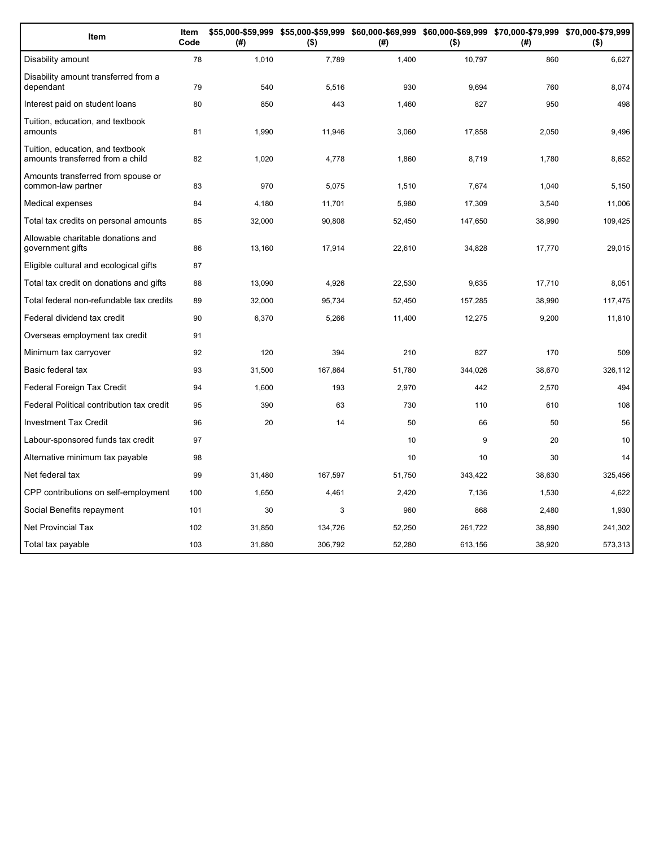| Item                                                                 | Item<br>Code | (#)    | \$55,000-\$59,999 \$55,000-\$59,999 \$60,000-\$69,999 \$60,000-\$69,999 \$70,000-\$79,999 \$70,000-\$79,999<br>$($ \$) | (#)    | $($ \$) | (#)    | $($ \$) |
|----------------------------------------------------------------------|--------------|--------|------------------------------------------------------------------------------------------------------------------------|--------|---------|--------|---------|
| Disability amount                                                    | 78           | 1,010  | 7,789                                                                                                                  | 1,400  | 10,797  | 860    | 6,627   |
| Disability amount transferred from a<br>dependant                    | 79           | 540    | 5,516                                                                                                                  | 930    | 9.694   | 760    | 8,074   |
| Interest paid on student loans                                       | 80           | 850    | 443                                                                                                                    | 1,460  | 827     | 950    | 498     |
| Tuition, education, and textbook<br>amounts                          | 81           | 1,990  | 11,946                                                                                                                 | 3,060  | 17,858  | 2,050  | 9,496   |
| Tuition, education, and textbook<br>amounts transferred from a child | 82           | 1,020  | 4,778                                                                                                                  | 1,860  | 8,719   | 1,780  | 8,652   |
| Amounts transferred from spouse or<br>common-law partner             | 83           | 970    | 5,075                                                                                                                  | 1,510  | 7,674   | 1,040  | 5,150   |
| Medical expenses                                                     | 84           | 4,180  | 11,701                                                                                                                 | 5,980  | 17,309  | 3,540  | 11,006  |
| Total tax credits on personal amounts                                | 85           | 32,000 | 90,808                                                                                                                 | 52,450 | 147,650 | 38,990 | 109,425 |
| Allowable charitable donations and<br>government gifts               | 86           | 13,160 | 17,914                                                                                                                 | 22,610 | 34,828  | 17,770 | 29,015  |
| Eligible cultural and ecological gifts                               | 87           |        |                                                                                                                        |        |         |        |         |
| Total tax credit on donations and gifts                              | 88           | 13,090 | 4,926                                                                                                                  | 22,530 | 9.635   | 17.710 | 8,051   |
| Total federal non-refundable tax credits                             | 89           | 32,000 | 95,734                                                                                                                 | 52,450 | 157,285 | 38,990 | 117,475 |
| Federal dividend tax credit                                          | 90           | 6,370  | 5,266                                                                                                                  | 11,400 | 12,275  | 9,200  | 11,810  |
| Overseas employment tax credit                                       | 91           |        |                                                                                                                        |        |         |        |         |
| Minimum tax carryover                                                | 92           | 120    | 394                                                                                                                    | 210    | 827     | 170    | 509     |
| Basic federal tax                                                    | 93           | 31,500 | 167,864                                                                                                                | 51,780 | 344,026 | 38,670 | 326,112 |
| Federal Foreign Tax Credit                                           | 94           | 1,600  | 193                                                                                                                    | 2,970  | 442     | 2,570  | 494     |
| Federal Political contribution tax credit                            | 95           | 390    | 63                                                                                                                     | 730    | 110     | 610    | 108     |
| <b>Investment Tax Credit</b>                                         | 96           | 20     | 14                                                                                                                     | 50     | 66      | 50     | 56      |
| Labour-sponsored funds tax credit                                    | 97           |        |                                                                                                                        | 10     | 9       | 20     | 10      |
| Alternative minimum tax payable                                      | 98           |        |                                                                                                                        | 10     | 10      | 30     | 14      |
| Net federal tax                                                      | 99           | 31,480 | 167,597                                                                                                                | 51,750 | 343,422 | 38,630 | 325,456 |
| CPP contributions on self-employment                                 | 100          | 1,650  | 4,461                                                                                                                  | 2,420  | 7,136   | 1,530  | 4,622   |
| Social Benefits repayment                                            | 101          | 30     | 3                                                                                                                      | 960    | 868     | 2,480  | 1,930   |
| <b>Net Provincial Tax</b>                                            | 102          | 31,850 | 134,726                                                                                                                | 52,250 | 261,722 | 38,890 | 241,302 |
| Total tax payable                                                    | 103          | 31,880 | 306,792                                                                                                                | 52,280 | 613,156 | 38,920 | 573,313 |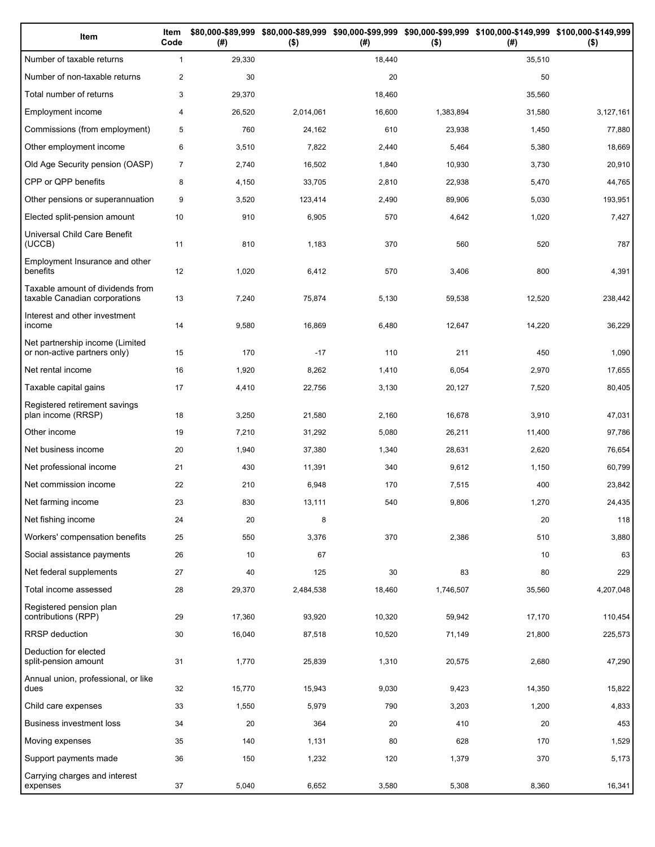| Item                                                              | Item<br>Code   | (# )   | $($ \$)   | (# )   | $($ \$)   | \$80,000-\$89,999 \$80,000-\$89,999 \$90,000-\$99,999 \$90,000-\$99,999 \$100,000-\$149,999 \$100,000-\$149,999<br>(#) | $($ \$)   |
|-------------------------------------------------------------------|----------------|--------|-----------|--------|-----------|------------------------------------------------------------------------------------------------------------------------|-----------|
| Number of taxable returns                                         | $\mathbf{1}$   | 29,330 |           | 18,440 |           | 35,510                                                                                                                 |           |
| Number of non-taxable returns                                     | $\overline{2}$ | 30     |           | 20     |           | 50                                                                                                                     |           |
| Total number of returns                                           | 3              | 29,370 |           | 18,460 |           | 35,560                                                                                                                 |           |
| <b>Employment income</b>                                          | 4              | 26,520 | 2,014,061 | 16,600 | 1,383,894 | 31,580                                                                                                                 | 3,127,161 |
| Commissions (from employment)                                     | 5              | 760    | 24,162    | 610    | 23,938    | 1,450                                                                                                                  | 77,880    |
| Other employment income                                           | 6              | 3,510  | 7,822     | 2,440  | 5,464     | 5,380                                                                                                                  | 18,669    |
| Old Age Security pension (OASP)                                   | $\overline{7}$ | 2,740  | 16,502    | 1,840  | 10,930    | 3,730                                                                                                                  | 20,910    |
| CPP or QPP benefits                                               | 8              | 4,150  | 33,705    | 2,810  | 22,938    | 5,470                                                                                                                  | 44,765    |
| Other pensions or superannuation                                  | 9              | 3,520  | 123,414   | 2,490  | 89,906    | 5,030                                                                                                                  | 193,951   |
| Elected split-pension amount                                      | 10             | 910    | 6,905     | 570    | 4,642     | 1,020                                                                                                                  | 7,427     |
| Universal Child Care Benefit<br>(UCCB)                            | 11             | 810    | 1,183     | 370    | 560       | 520                                                                                                                    | 787       |
| Employment Insurance and other<br>benefits                        | 12             | 1,020  | 6,412     | 570    | 3,406     | 800                                                                                                                    | 4,391     |
| Taxable amount of dividends from<br>taxable Canadian corporations | 13             | 7,240  | 75,874    | 5,130  | 59,538    | 12,520                                                                                                                 | 238,442   |
| Interest and other investment<br>income                           | 14             | 9,580  | 16,869    | 6,480  | 12,647    | 14,220                                                                                                                 | 36,229    |
| Net partnership income (Limited<br>or non-active partners only)   | 15             | 170    | $-17$     | 110    | 211       | 450                                                                                                                    | 1,090     |
| Net rental income                                                 | 16             | 1,920  | 8,262     | 1,410  | 6,054     | 2,970                                                                                                                  | 17,655    |
| Taxable capital gains                                             | 17             | 4,410  | 22,756    | 3,130  | 20,127    | 7,520                                                                                                                  | 80,405    |
| Registered retirement savings<br>plan income (RRSP)               | 18             | 3,250  | 21,580    | 2,160  | 16,678    | 3,910                                                                                                                  | 47,031    |
| Other income                                                      | 19             | 7,210  | 31,292    | 5,080  | 26,211    | 11,400                                                                                                                 | 97,786    |
| Net business income                                               | 20             | 1,940  | 37,380    | 1,340  | 28,631    | 2,620                                                                                                                  | 76,654    |
| Net professional income                                           | 21             | 430    | 11,391    | 340    | 9,612     | 1,150                                                                                                                  | 60,799    |
| Net commission income                                             | 22             | 210    | 6,948     | 170    | 7,515     | 400                                                                                                                    | 23,842    |
| Net farming income                                                | 23             | 830    | 13,111    | 540    | 9,806     | 1,270                                                                                                                  | 24,435    |
| Net fishing income                                                | 24             | 20     | 8         |        |           | 20                                                                                                                     | 118       |
| Workers' compensation benefits                                    | 25             | 550    | 3,376     | 370    | 2,386     | 510                                                                                                                    | 3,880     |
| Social assistance payments                                        | 26             | 10     | 67        |        |           | 10                                                                                                                     | 63        |
| Net federal supplements                                           | 27             | 40     | 125       | 30     | 83        | 80                                                                                                                     | 229       |
| Total income assessed                                             | 28             | 29,370 | 2,484,538 | 18,460 | 1,746,507 | 35,560                                                                                                                 | 4,207,048 |
| Registered pension plan<br>contributions (RPP)                    | 29             | 17,360 | 93,920    | 10,320 | 59,942    | 17,170                                                                                                                 | 110,454   |
| <b>RRSP</b> deduction                                             | 30             | 16,040 | 87,518    | 10,520 | 71,149    | 21,800                                                                                                                 | 225,573   |
| Deduction for elected<br>split-pension amount                     | 31             | 1,770  | 25,839    | 1,310  | 20,575    | 2,680                                                                                                                  | 47,290    |
| Annual union, professional, or like<br>dues                       | 32             | 15,770 | 15,943    | 9,030  | 9,423     | 14,350                                                                                                                 | 15,822    |
| Child care expenses                                               | 33             | 1,550  | 5,979     | 790    | 3,203     | 1,200                                                                                                                  | 4,833     |
| <b>Business investment loss</b>                                   | 34             | 20     | 364       | 20     | 410       | 20                                                                                                                     | 453       |
| Moving expenses                                                   | 35             | 140    | 1,131     | 80     | 628       | 170                                                                                                                    | 1,529     |
| Support payments made                                             | 36             | 150    | 1,232     | 120    | 1,379     | 370                                                                                                                    | 5,173     |
| Carrying charges and interest<br>expenses                         | 37             | 5,040  | 6,652     | 3,580  | 5,308     | 8,360                                                                                                                  | 16,341    |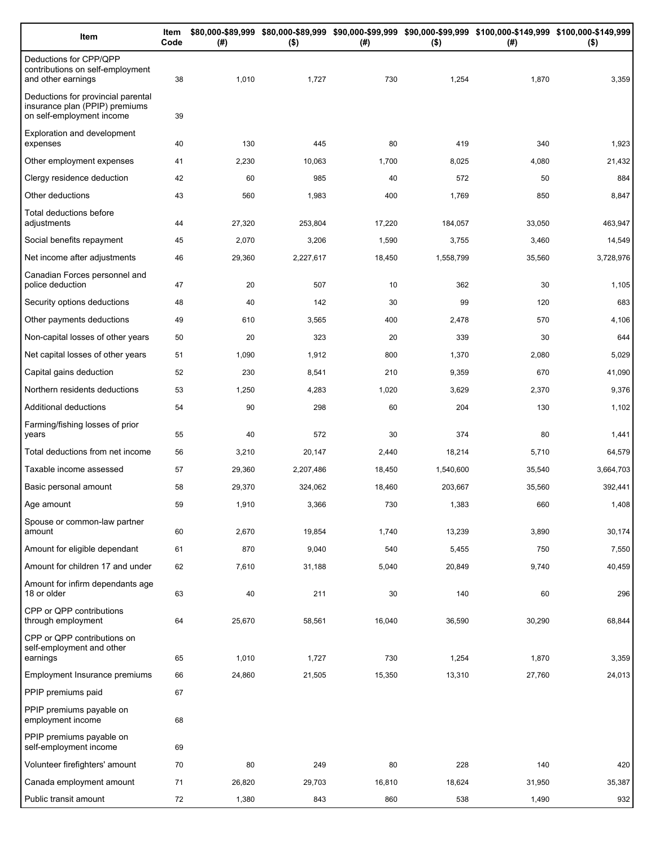| Item                                                                                              | Item<br>Code | (# )   | $($ \$)   | (#)    | $($ \$)   | \$80,000-\$89,999 \$80,000-\$89,999 \$90,000-\$99,999 \$90,000-\$99,999 \$100,000-\$149,999 \$100,000-\$149,999<br>(#) | $($ \$)   |
|---------------------------------------------------------------------------------------------------|--------------|--------|-----------|--------|-----------|------------------------------------------------------------------------------------------------------------------------|-----------|
| Deductions for CPP/QPP<br>contributions on self-employment<br>and other earnings                  | 38           | 1,010  | 1,727     | 730    | 1,254     | 1,870                                                                                                                  | 3,359     |
| Deductions for provincial parental<br>insurance plan (PPIP) premiums<br>on self-employment income | 39           |        |           |        |           |                                                                                                                        |           |
| Exploration and development<br>expenses                                                           | 40           | 130    | 445       | 80     | 419       | 340                                                                                                                    | 1,923     |
| Other employment expenses                                                                         | 41           | 2,230  | 10,063    | 1,700  | 8,025     | 4,080                                                                                                                  | 21,432    |
| Clergy residence deduction                                                                        | 42           | 60     | 985       | 40     | 572       | 50                                                                                                                     | 884       |
| Other deductions                                                                                  | 43           | 560    | 1,983     | 400    | 1,769     | 850                                                                                                                    | 8,847     |
| Total deductions before<br>adjustments                                                            | 44           | 27,320 | 253,804   | 17,220 | 184,057   | 33,050                                                                                                                 | 463,947   |
| Social benefits repayment                                                                         | 45           | 2,070  | 3,206     | 1,590  | 3,755     | 3,460                                                                                                                  | 14,549    |
| Net income after adjustments                                                                      | 46           | 29,360 | 2,227,617 | 18,450 | 1,558,799 | 35,560                                                                                                                 | 3,728,976 |
| Canadian Forces personnel and<br>police deduction                                                 | 47           | 20     | 507       | 10     | 362       | 30                                                                                                                     | 1,105     |
| Security options deductions                                                                       | 48           | 40     | 142       | 30     | 99        | 120                                                                                                                    | 683       |
| Other payments deductions                                                                         | 49           | 610    | 3,565     | 400    | 2,478     | 570                                                                                                                    | 4,106     |
| Non-capital losses of other years                                                                 | 50           | 20     | 323       | 20     | 339       | 30                                                                                                                     | 644       |
| Net capital losses of other years                                                                 | 51           | 1,090  | 1,912     | 800    | 1,370     | 2,080                                                                                                                  | 5,029     |
| Capital gains deduction                                                                           | 52           | 230    | 8,541     | 210    | 9,359     | 670                                                                                                                    | 41,090    |
| Northern residents deductions                                                                     | 53           | 1,250  | 4,283     | 1,020  | 3,629     | 2,370                                                                                                                  | 9,376     |
| Additional deductions                                                                             | 54           | 90     | 298       | 60     | 204       | 130                                                                                                                    | 1,102     |
| Farming/fishing losses of prior<br>years                                                          | 55           | 40     | 572       | 30     | 374       | 80                                                                                                                     | 1,441     |
| Total deductions from net income                                                                  | 56           | 3,210  | 20,147    | 2,440  | 18,214    | 5,710                                                                                                                  | 64,579    |
| Taxable income assessed                                                                           | 57           | 29,360 | 2,207,486 | 18,450 | 1,540,600 | 35,540                                                                                                                 | 3,664,703 |
| Basic personal amount                                                                             | 58           | 29,370 | 324,062   | 18,460 | 203,667   | 35,560                                                                                                                 | 392,441   |
| Age amount                                                                                        | 59           | 1,910  | 3,366     | 730    | 1,383     | 660                                                                                                                    | 1,408     |
| Spouse or common-law partner<br>amount                                                            | 60           | 2,670  | 19,854    | 1,740  | 13,239    | 3,890                                                                                                                  | 30,174    |
| Amount for eligible dependant                                                                     | 61           | 870    | 9,040     | 540    | 5,455     | 750                                                                                                                    | 7,550     |
| Amount for children 17 and under                                                                  | 62           | 7,610  | 31,188    | 5,040  | 20,849    | 9,740                                                                                                                  | 40,459    |
| Amount for infirm dependants age<br>18 or older                                                   | 63           | 40     | 211       | 30     | 140       | 60                                                                                                                     | 296       |
| CPP or QPP contributions<br>through employment                                                    | 64           | 25,670 | 58,561    | 16,040 | 36,590    | 30,290                                                                                                                 | 68,844    |
| CPP or QPP contributions on<br>self-employment and other<br>earnings                              | 65           | 1,010  | 1,727     | 730    | 1,254     | 1,870                                                                                                                  | 3,359     |
| Employment Insurance premiums                                                                     | 66           | 24,860 | 21,505    | 15,350 | 13,310    | 27,760                                                                                                                 | 24,013    |
| PPIP premiums paid                                                                                | 67           |        |           |        |           |                                                                                                                        |           |
| PPIP premiums payable on                                                                          |              |        |           |        |           |                                                                                                                        |           |
| employment income                                                                                 | 68           |        |           |        |           |                                                                                                                        |           |
| PPIP premiums payable on<br>self-employment income                                                | 69           |        |           |        |           |                                                                                                                        |           |
| Volunteer firefighters' amount                                                                    | 70           | 80     | 249       | 80     | 228       | 140                                                                                                                    | 420       |
| Canada employment amount                                                                          | 71           | 26,820 | 29,703    | 16,810 | 18,624    | 31,950                                                                                                                 | 35,387    |
| Public transit amount                                                                             | 72           | 1,380  | 843       | 860    | 538       | 1,490                                                                                                                  | 932       |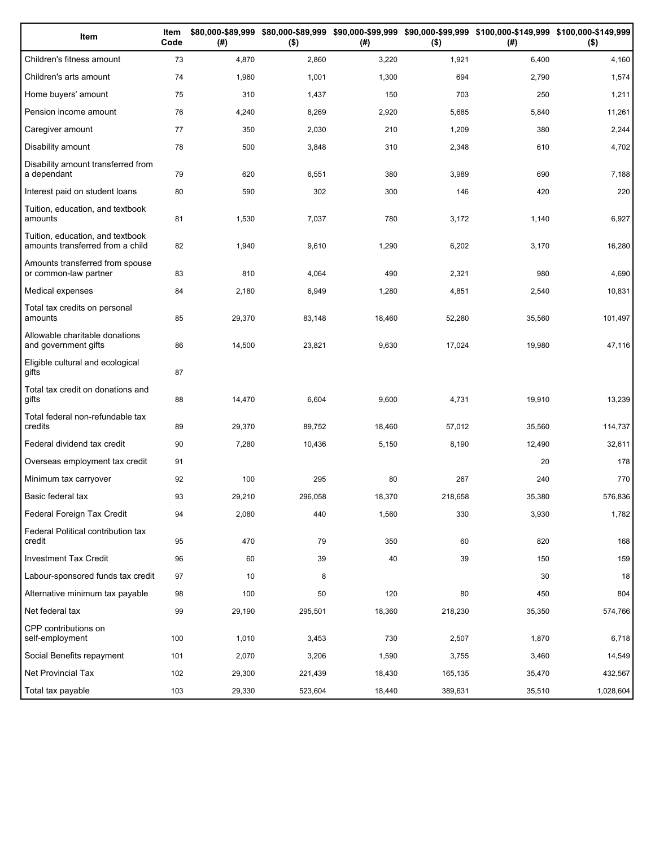| Item                                                                 | Item<br>Code | (# )   | $($ \$) | (#)    | $($ \$) | \$80,000-\$89,999 \$80,000-\$89,999 \$90,000-\$99,999 \$90,000-\$99,999 \$100,000-\$149,999 \$100,000-\$149,999<br>(#) | $($ \$)   |
|----------------------------------------------------------------------|--------------|--------|---------|--------|---------|------------------------------------------------------------------------------------------------------------------------|-----------|
| Children's fitness amount                                            | 73           | 4,870  | 2,860   | 3,220  | 1,921   | 6,400                                                                                                                  | 4,160     |
| Children's arts amount                                               | 74           | 1,960  | 1,001   | 1,300  | 694     | 2,790                                                                                                                  | 1,574     |
| Home buyers' amount                                                  | 75           | 310    | 1,437   | 150    | 703     | 250                                                                                                                    | 1,211     |
| Pension income amount                                                | 76           | 4,240  | 8,269   | 2,920  | 5,685   | 5,840                                                                                                                  | 11,261    |
| Caregiver amount                                                     | 77           | 350    | 2,030   | 210    | 1,209   | 380                                                                                                                    | 2,244     |
| Disability amount                                                    | 78           | 500    | 3,848   | 310    | 2,348   | 610                                                                                                                    | 4,702     |
| Disability amount transferred from<br>a dependant                    | 79           | 620    | 6,551   | 380    | 3,989   | 690                                                                                                                    | 7,188     |
| Interest paid on student loans                                       | 80           | 590    | 302     | 300    | 146     | 420                                                                                                                    | 220       |
| Tuition, education, and textbook<br>amounts                          | 81           | 1,530  | 7,037   | 780    | 3,172   | 1,140                                                                                                                  | 6,927     |
| Tuition, education, and textbook<br>amounts transferred from a child | 82           | 1,940  | 9,610   | 1,290  | 6,202   | 3,170                                                                                                                  | 16,280    |
| Amounts transferred from spouse<br>or common-law partner             | 83           | 810    | 4,064   | 490    | 2,321   | 980                                                                                                                    | 4,690     |
| Medical expenses                                                     | 84           | 2,180  | 6,949   | 1,280  | 4,851   | 2,540                                                                                                                  | 10,831    |
| Total tax credits on personal<br>amounts                             | 85           | 29,370 | 83,148  | 18,460 | 52,280  | 35,560                                                                                                                 | 101,497   |
| Allowable charitable donations<br>and government gifts               | 86           | 14,500 | 23,821  | 9,630  | 17,024  | 19,980                                                                                                                 | 47,116    |
| Eligible cultural and ecological<br>gifts                            | 87           |        |         |        |         |                                                                                                                        |           |
| Total tax credit on donations and<br>gifts                           | 88           | 14,470 | 6,604   | 9,600  | 4,731   | 19,910                                                                                                                 | 13,239    |
| Total federal non-refundable tax<br>credits                          | 89           | 29,370 | 89,752  | 18,460 | 57,012  | 35,560                                                                                                                 | 114,737   |
| Federal dividend tax credit                                          | 90           | 7,280  | 10,436  | 5,150  | 8,190   | 12,490                                                                                                                 | 32,611    |
| Overseas employment tax credit                                       | 91           |        |         |        |         | 20                                                                                                                     | 178       |
| Minimum tax carryover                                                | 92           | 100    | 295     | 80     | 267     | 240                                                                                                                    | 770       |
| Basic federal tax                                                    | 93           | 29,210 | 296,058 | 18,370 | 218,658 | 35,380                                                                                                                 | 576,836   |
| Federal Foreign Tax Credit                                           | 94           | 2,080  | 440     | 1,560  | 330     | 3,930                                                                                                                  | 1,782     |
| Federal Political contribution tax<br>credit                         | 95           | 470    | 79      | 350    | 60      | 820                                                                                                                    | 168       |
| Investment Tax Credit                                                | 96           | 60     | 39      | 40     | 39      | 150                                                                                                                    | 159       |
| Labour-sponsored funds tax credit                                    | 97           | 10     | 8       |        |         | 30                                                                                                                     | 18        |
| Alternative minimum tax payable                                      | 98           | 100    | 50      | 120    | 80      | 450                                                                                                                    | 804       |
| Net federal tax                                                      | 99           | 29,190 | 295,501 | 18,360 | 218,230 | 35,350                                                                                                                 | 574,766   |
| CPP contributions on<br>self-employment                              | 100          | 1,010  | 3,453   | 730    | 2,507   | 1,870                                                                                                                  | 6,718     |
| Social Benefits repayment                                            | 101          | 2,070  | 3,206   | 1,590  | 3,755   | 3,460                                                                                                                  | 14,549    |
| Net Provincial Tax                                                   | 102          | 29,300 | 221,439 | 18,430 | 165,135 | 35,470                                                                                                                 | 432,567   |
| Total tax payable                                                    | 103          | 29,330 | 523,604 | 18,440 | 389,631 | 35,510                                                                                                                 | 1,028,604 |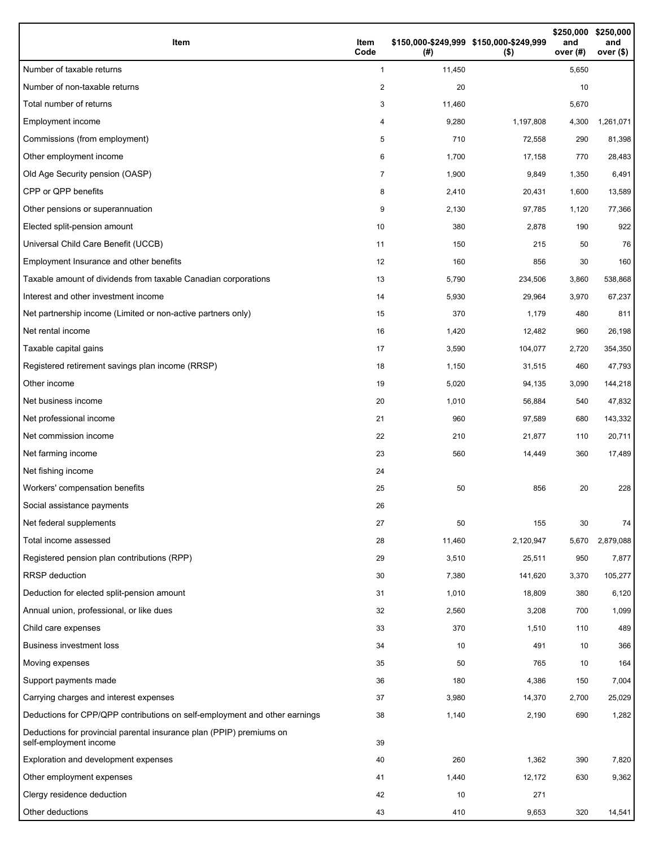| Item                                                                                           | Item<br>Code | \$150,000-\$249,999 \$150,000-\$249,999<br>(# ) | $($ \$)   | \$250,000<br>and<br>over (#) | \$250,000<br>and<br>over (\$) |
|------------------------------------------------------------------------------------------------|--------------|-------------------------------------------------|-----------|------------------------------|-------------------------------|
| Number of taxable returns                                                                      | $\mathbf{1}$ | 11,450                                          |           | 5,650                        |                               |
| Number of non-taxable returns                                                                  | 2            | 20                                              |           | 10                           |                               |
| Total number of returns                                                                        | 3            | 11,460                                          |           | 5,670                        |                               |
| Employment income                                                                              | 4            | 9,280                                           | 1,197,808 | 4,300                        | 1,261,071                     |
| Commissions (from employment)                                                                  | 5            | 710                                             | 72,558    | 290                          | 81,398                        |
| Other employment income                                                                        | 6            | 1,700                                           | 17,158    | 770                          | 28,483                        |
| Old Age Security pension (OASP)                                                                | 7            | 1,900                                           | 9,849     | 1,350                        | 6,491                         |
| CPP or QPP benefits                                                                            | 8            | 2,410                                           | 20,431    | 1,600                        | 13,589                        |
| Other pensions or superannuation                                                               | 9            | 2,130                                           | 97,785    | 1,120                        | 77,366                        |
| Elected split-pension amount                                                                   | 10           | 380                                             | 2,878     | 190                          | 922                           |
| Universal Child Care Benefit (UCCB)                                                            | 11           | 150                                             | 215       | 50                           | 76                            |
| Employment Insurance and other benefits                                                        | 12           | 160                                             | 856       | 30                           | 160                           |
| Taxable amount of dividends from taxable Canadian corporations                                 | 13           | 5,790                                           | 234,506   | 3,860                        | 538,868                       |
| Interest and other investment income                                                           | 14           | 5,930                                           | 29,964    | 3,970                        | 67,237                        |
| Net partnership income (Limited or non-active partners only)                                   | 15           | 370                                             | 1,179     | 480                          | 811                           |
| Net rental income                                                                              | 16           | 1,420                                           | 12,482    | 960                          | 26,198                        |
| Taxable capital gains                                                                          | 17           | 3,590                                           | 104,077   | 2,720                        | 354,350                       |
| Registered retirement savings plan income (RRSP)                                               | 18           | 1,150                                           | 31,515    | 460                          | 47,793                        |
| Other income                                                                                   | 19           | 5,020                                           | 94,135    | 3,090                        | 144,218                       |
| Net business income                                                                            | 20           | 1,010                                           | 56,884    | 540                          | 47,832                        |
| Net professional income                                                                        | 21           | 960                                             | 97,589    | 680                          | 143,332                       |
| Net commission income                                                                          | 22           | 210                                             | 21,877    | 110                          | 20,711                        |
| Net farming income                                                                             | 23           | 560                                             | 14,449    | 360                          | 17,489                        |
| Net fishing income                                                                             | 24           |                                                 |           |                              |                               |
| Workers' compensation benefits                                                                 | 25           | 50                                              | 856       | 20                           | 228                           |
| Social assistance payments                                                                     | 26           |                                                 |           |                              |                               |
| Net federal supplements                                                                        | 27           | 50                                              | 155       | 30                           | 74                            |
| Total income assessed                                                                          | 28           | 11,460                                          | 2,120,947 | 5,670                        | 2,879,088                     |
| Registered pension plan contributions (RPP)                                                    | 29           | 3,510                                           | 25,511    | 950                          | 7,877                         |
| <b>RRSP</b> deduction                                                                          | 30           | 7,380                                           | 141,620   | 3,370                        | 105,277                       |
| Deduction for elected split-pension amount                                                     | 31           | 1,010                                           | 18,809    | 380                          | 6,120                         |
| Annual union, professional, or like dues                                                       | 32           | 2,560                                           | 3,208     | 700                          | 1,099                         |
| Child care expenses                                                                            | 33           | 370                                             | 1,510     | 110                          | 489                           |
| <b>Business investment loss</b>                                                                | 34           | 10                                              | 491       | 10                           | 366                           |
| Moving expenses                                                                                | 35           | 50                                              | 765       | 10                           | 164                           |
| Support payments made                                                                          | 36           | 180                                             | 4,386     | 150                          | 7,004                         |
| Carrying charges and interest expenses                                                         | 37           | 3,980                                           | 14,370    | 2,700                        | 25,029                        |
| Deductions for CPP/QPP contributions on self-employment and other earnings                     | 38           | 1,140                                           | 2,190     | 690                          | 1,282                         |
| Deductions for provincial parental insurance plan (PPIP) premiums on<br>self-employment income | 39           |                                                 |           |                              |                               |
| Exploration and development expenses                                                           | 40           | 260                                             | 1,362     | 390                          | 7,820                         |
| Other employment expenses                                                                      | 41           | 1,440                                           | 12,172    | 630                          | 9,362                         |
| Clergy residence deduction                                                                     | 42           | 10                                              | 271       |                              |                               |
| Other deductions                                                                               | 43           | 410                                             | 9,653     | 320                          | 14,541                        |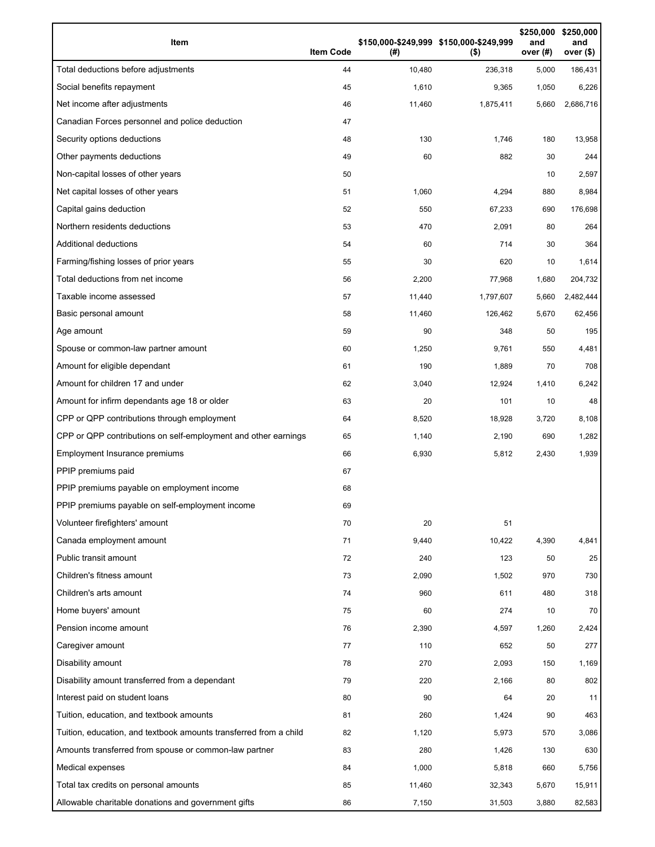| Item                                                              | <b>Item Code</b> | (# )   | \$150,000-\$249,999 \$150,000-\$249,999<br>$($ \$) | \$250,000<br>and<br>over (#) | \$250,000<br>and<br>over (\$) |
|-------------------------------------------------------------------|------------------|--------|----------------------------------------------------|------------------------------|-------------------------------|
| Total deductions before adjustments                               | 44               | 10,480 | 236,318                                            | 5,000                        | 186,431                       |
| Social benefits repayment                                         | 45               | 1,610  | 9,365                                              | 1,050                        | 6,226                         |
| Net income after adjustments                                      | 46               | 11,460 | 1,875,411                                          | 5,660                        | 2,686,716                     |
| Canadian Forces personnel and police deduction                    | 47               |        |                                                    |                              |                               |
| Security options deductions                                       | 48               | 130    | 1,746                                              | 180                          | 13,958                        |
| Other payments deductions                                         | 49               | 60     | 882                                                | 30                           | 244                           |
| Non-capital losses of other years                                 | 50               |        |                                                    | 10                           | 2,597                         |
| Net capital losses of other years                                 | 51               | 1,060  | 4,294                                              | 880                          | 8,984                         |
| Capital gains deduction                                           | 52               | 550    | 67,233                                             | 690                          | 176,698                       |
| Northern residents deductions                                     | 53               | 470    | 2,091                                              | 80                           | 264                           |
| Additional deductions                                             | 54               | 60     | 714                                                | 30                           | 364                           |
| Farming/fishing losses of prior years                             | 55               | 30     | 620                                                | 10                           | 1,614                         |
| Total deductions from net income                                  | 56               | 2,200  | 77,968                                             | 1,680                        | 204,732                       |
| Taxable income assessed                                           | 57               | 11,440 | 1,797,607                                          | 5,660                        | 2,482,444                     |
| Basic personal amount                                             | 58               | 11,460 | 126,462                                            | 5,670                        | 62,456                        |
| Age amount                                                        | 59               | 90     | 348                                                | 50                           | 195                           |
| Spouse or common-law partner amount                               | 60               | 1,250  | 9,761                                              | 550                          | 4,481                         |
| Amount for eligible dependant                                     | 61               | 190    | 1,889                                              | 70                           | 708                           |
| Amount for children 17 and under                                  | 62               | 3,040  | 12,924                                             | 1,410                        | 6,242                         |
| Amount for infirm dependants age 18 or older                      | 63               | 20     | 101                                                | 10                           | 48                            |
| CPP or QPP contributions through employment                       | 64               | 8,520  | 18,928                                             | 3,720                        | 8,108                         |
| CPP or QPP contributions on self-employment and other earnings    | 65               | 1,140  | 2,190                                              | 690                          | 1,282                         |
| Employment Insurance premiums                                     | 66               | 6,930  | 5,812                                              | 2,430                        | 1,939                         |
| PPIP premiums paid                                                | 67               |        |                                                    |                              |                               |
| PPIP premiums payable on employment income                        | 68               |        |                                                    |                              |                               |
| PPIP premiums payable on self-employment income                   | 69               |        |                                                    |                              |                               |
| Volunteer firefighters' amount                                    | 70               | 20     | 51                                                 |                              |                               |
| Canada employment amount                                          | 71               | 9,440  | 10,422                                             | 4,390                        | 4,841                         |
| Public transit amount                                             | 72               | 240    | 123                                                | 50                           | 25                            |
| Children's fitness amount                                         | 73               | 2,090  | 1,502                                              | 970                          | 730                           |
| Children's arts amount                                            | 74               | 960    | 611                                                | 480                          | 318                           |
| Home buyers' amount                                               | 75               | 60     | 274                                                | 10                           | 70                            |
| Pension income amount                                             | 76               | 2,390  | 4,597                                              | 1,260                        | 2,424                         |
| Caregiver amount                                                  | 77               | 110    | 652                                                | 50                           | 277                           |
| Disability amount                                                 | 78               | 270    | 2,093                                              | 150                          | 1,169                         |
| Disability amount transferred from a dependant                    | 79               | 220    | 2,166                                              | 80                           | 802                           |
| Interest paid on student loans                                    | 80               | 90     | 64                                                 | 20                           | 11                            |
| Tuition, education, and textbook amounts                          | 81               | 260    | 1,424                                              | 90                           | 463                           |
| Tuition, education, and textbook amounts transferred from a child | 82               | 1,120  | 5,973                                              | 570                          | 3,086                         |
| Amounts transferred from spouse or common-law partner             | 83               | 280    | 1,426                                              | 130                          | 630                           |
| Medical expenses                                                  | 84               | 1,000  | 5,818                                              | 660                          | 5,756                         |
| Total tax credits on personal amounts                             | 85               | 11,460 | 32,343                                             | 5,670                        | 15,911                        |
| Allowable charitable donations and government gifts               | 86               | 7,150  | 31,503                                             | 3,880                        | 82,583                        |